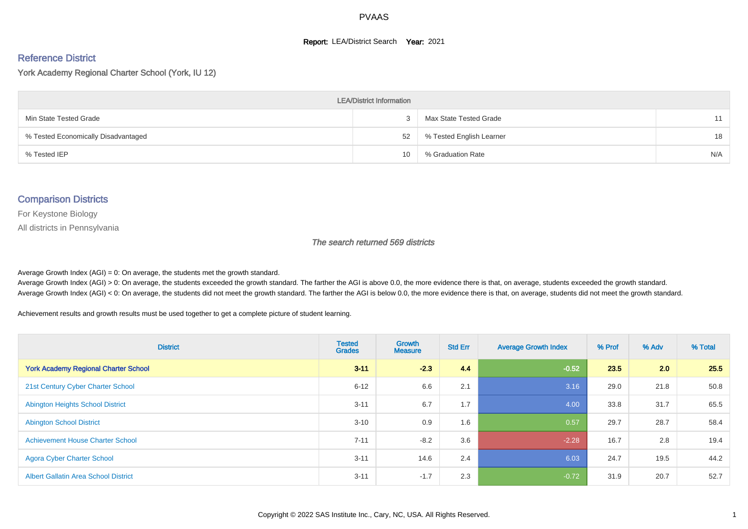#### **Report: LEA/District Search Year: 2021**

# Reference District

York Academy Regional Charter School (York, IU 12)

| <b>LEA/District Information</b>     |                 |                          |     |  |  |  |  |  |  |  |
|-------------------------------------|-----------------|--------------------------|-----|--|--|--|--|--|--|--|
| Min State Tested Grade              |                 | Max State Tested Grade   | 11  |  |  |  |  |  |  |  |
| % Tested Economically Disadvantaged | 52              | % Tested English Learner | 18  |  |  |  |  |  |  |  |
| % Tested IEP                        | 10 <sup>1</sup> | % Graduation Rate        | N/A |  |  |  |  |  |  |  |

#### Comparison Districts

For Keystone Biology

All districts in Pennsylvania

The search returned 569 districts

Average Growth Index  $(AGI) = 0$ : On average, the students met the growth standard.

Average Growth Index (AGI) > 0: On average, the students exceeded the growth standard. The farther the AGI is above 0.0, the more evidence there is that, on average, students exceeded the growth standard. Average Growth Index (AGI) < 0: On average, the students did not meet the growth standard. The farther the AGI is below 0.0, the more evidence there is that, on average, students did not meet the growth standard.

Achievement results and growth results must be used together to get a complete picture of student learning.

| <b>District</b>                             | <b>Tested</b><br><b>Grades</b> | <b>Growth</b><br><b>Measure</b> | <b>Std Err</b> | <b>Average Growth Index</b> | % Prof | % Adv | % Total |
|---------------------------------------------|--------------------------------|---------------------------------|----------------|-----------------------------|--------|-------|---------|
| <b>York Academy Regional Charter School</b> | $3 - 11$                       | $-2.3$                          | 4.4            | $-0.52$                     | 23.5   | 2.0   | 25.5    |
| 21st Century Cyber Charter School           | $6 - 12$                       | 6.6                             | 2.1            | 3.16                        | 29.0   | 21.8  | 50.8    |
| <b>Abington Heights School District</b>     | $3 - 11$                       | 6.7                             | 1.7            | 4.00                        | 33.8   | 31.7  | 65.5    |
| <b>Abington School District</b>             | $3 - 10$                       | 0.9                             | 1.6            | 0.57                        | 29.7   | 28.7  | 58.4    |
| <b>Achievement House Charter School</b>     | $7 - 11$                       | $-8.2$                          | 3.6            | $-2.28$                     | 16.7   | 2.8   | 19.4    |
| <b>Agora Cyber Charter School</b>           | $3 - 11$                       | 14.6                            | 2.4            | 6.03                        | 24.7   | 19.5  | 44.2    |
| <b>Albert Gallatin Area School District</b> | $3 - 11$                       | $-1.7$                          | 2.3            | $-0.72$                     | 31.9   | 20.7  | 52.7    |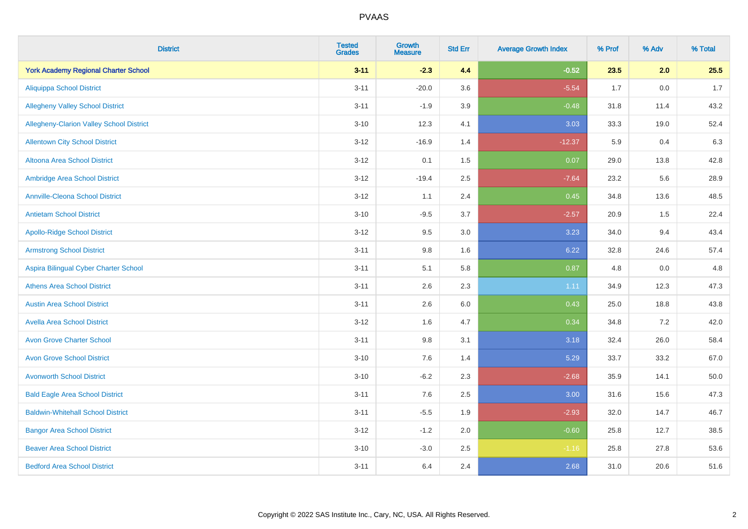| <b>District</b>                                 | <b>Tested</b><br><b>Grades</b> | <b>Growth</b><br><b>Measure</b> | <b>Std Err</b> | <b>Average Growth Index</b> | % Prof | % Adv   | % Total |
|-------------------------------------------------|--------------------------------|---------------------------------|----------------|-----------------------------|--------|---------|---------|
| <b>York Academy Regional Charter School</b>     | $3 - 11$                       | $-2.3$                          | 4.4            | $-0.52$                     | 23.5   | 2.0     | 25.5    |
| <b>Aliquippa School District</b>                | $3 - 11$                       | $-20.0$                         | 3.6            | $-5.54$                     | 1.7    | $0.0\,$ | 1.7     |
| <b>Allegheny Valley School District</b>         | $3 - 11$                       | $-1.9$                          | 3.9            | $-0.48$                     | 31.8   | 11.4    | 43.2    |
| <b>Allegheny-Clarion Valley School District</b> | $3 - 10$                       | 12.3                            | 4.1            | 3.03                        | 33.3   | 19.0    | 52.4    |
| <b>Allentown City School District</b>           | $3-12$                         | $-16.9$                         | 1.4            | $-12.37$                    | 5.9    | 0.4     | 6.3     |
| Altoona Area School District                    | $3 - 12$                       | 0.1                             | 1.5            | 0.07                        | 29.0   | 13.8    | 42.8    |
| Ambridge Area School District                   | $3 - 12$                       | $-19.4$                         | 2.5            | $-7.64$                     | 23.2   | 5.6     | 28.9    |
| <b>Annville-Cleona School District</b>          | $3 - 12$                       | 1.1                             | 2.4            | 0.45                        | 34.8   | 13.6    | 48.5    |
| <b>Antietam School District</b>                 | $3 - 10$                       | $-9.5$                          | 3.7            | $-2.57$                     | 20.9   | 1.5     | 22.4    |
| <b>Apollo-Ridge School District</b>             | $3-12$                         | 9.5                             | 3.0            | 3.23                        | 34.0   | 9.4     | 43.4    |
| <b>Armstrong School District</b>                | $3 - 11$                       | 9.8                             | 1.6            | 6.22                        | 32.8   | 24.6    | 57.4    |
| Aspira Bilingual Cyber Charter School           | $3 - 11$                       | 5.1                             | 5.8            | 0.87                        | 4.8    | 0.0     | 4.8     |
| <b>Athens Area School District</b>              | $3 - 11$                       | 2.6                             | 2.3            | 1.11                        | 34.9   | 12.3    | 47.3    |
| <b>Austin Area School District</b>              | $3 - 11$                       | 2.6                             | 6.0            | 0.43                        | 25.0   | 18.8    | 43.8    |
| <b>Avella Area School District</b>              | $3-12$                         | 1.6                             | 4.7            | 0.34                        | 34.8   | 7.2     | 42.0    |
| <b>Avon Grove Charter School</b>                | $3 - 11$                       | 9.8                             | 3.1            | 3.18                        | 32.4   | 26.0    | 58.4    |
| <b>Avon Grove School District</b>               | $3 - 10$                       | 7.6                             | 1.4            | 5.29                        | 33.7   | 33.2    | 67.0    |
| <b>Avonworth School District</b>                | $3 - 10$                       | $-6.2$                          | 2.3            | $-2.68$                     | 35.9   | 14.1    | 50.0    |
| <b>Bald Eagle Area School District</b>          | $3 - 11$                       | 7.6                             | 2.5            | 3.00                        | 31.6   | 15.6    | 47.3    |
| <b>Baldwin-Whitehall School District</b>        | $3 - 11$                       | $-5.5$                          | 1.9            | $-2.93$                     | 32.0   | 14.7    | 46.7    |
| <b>Bangor Area School District</b>              | $3 - 12$                       | $-1.2$                          | 2.0            | $-0.60$                     | 25.8   | 12.7    | 38.5    |
| <b>Beaver Area School District</b>              | $3 - 10$                       | $-3.0$                          | 2.5            | $-1.16$                     | 25.8   | 27.8    | 53.6    |
| <b>Bedford Area School District</b>             | $3 - 11$                       | 6.4                             | 2.4            | 2.68                        | 31.0   | 20.6    | 51.6    |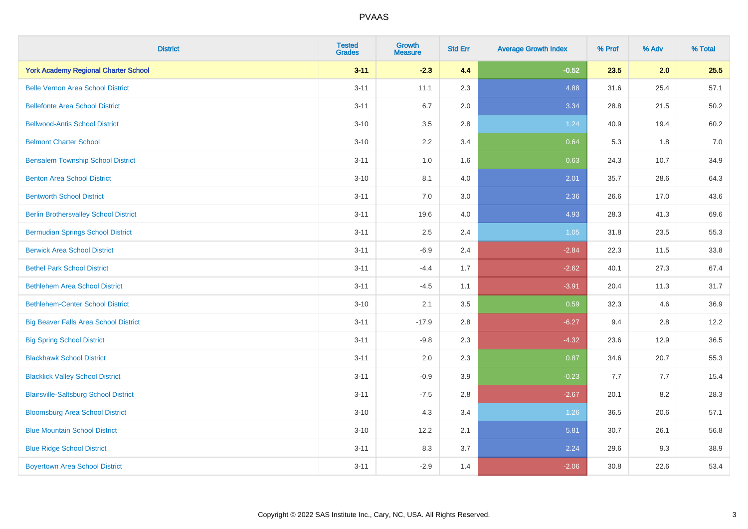| <b>District</b>                              | <b>Tested</b><br><b>Grades</b> | <b>Growth</b><br><b>Measure</b> | <b>Std Err</b> | <b>Average Growth Index</b> | % Prof | % Adv | % Total |
|----------------------------------------------|--------------------------------|---------------------------------|----------------|-----------------------------|--------|-------|---------|
| <b>York Academy Regional Charter School</b>  | $3 - 11$                       | $-2.3$                          | 4.4            | $-0.52$                     | 23.5   | 2.0   | 25.5    |
| <b>Belle Vernon Area School District</b>     | $3 - 11$                       | 11.1                            | 2.3            | 4.88                        | 31.6   | 25.4  | 57.1    |
| <b>Bellefonte Area School District</b>       | $3 - 11$                       | 6.7                             | 2.0            | 3.34                        | 28.8   | 21.5  | 50.2    |
| <b>Bellwood-Antis School District</b>        | $3 - 10$                       | 3.5                             | 2.8            | 1.24                        | 40.9   | 19.4  | 60.2    |
| <b>Belmont Charter School</b>                | $3 - 10$                       | 2.2                             | 3.4            | 0.64                        | 5.3    | 1.8   | 7.0     |
| <b>Bensalem Township School District</b>     | $3 - 11$                       | 1.0                             | 1.6            | 0.63                        | 24.3   | 10.7  | 34.9    |
| <b>Benton Area School District</b>           | $3 - 10$                       | 8.1                             | 4.0            | 2.01                        | 35.7   | 28.6  | 64.3    |
| <b>Bentworth School District</b>             | $3 - 11$                       | 7.0                             | 3.0            | 2.36                        | 26.6   | 17.0  | 43.6    |
| <b>Berlin Brothersvalley School District</b> | $3 - 11$                       | 19.6                            | 4.0            | 4.93                        | 28.3   | 41.3  | 69.6    |
| <b>Bermudian Springs School District</b>     | $3 - 11$                       | 2.5                             | 2.4            | 1.05                        | 31.8   | 23.5  | 55.3    |
| <b>Berwick Area School District</b>          | $3 - 11$                       | $-6.9$                          | 2.4            | $-2.84$                     | 22.3   | 11.5  | 33.8    |
| <b>Bethel Park School District</b>           | $3 - 11$                       | $-4.4$                          | 1.7            | $-2.62$                     | 40.1   | 27.3  | 67.4    |
| <b>Bethlehem Area School District</b>        | $3 - 11$                       | $-4.5$                          | 1.1            | $-3.91$                     | 20.4   | 11.3  | 31.7    |
| <b>Bethlehem-Center School District</b>      | $3 - 10$                       | 2.1                             | 3.5            | 0.59                        | 32.3   | 4.6   | 36.9    |
| <b>Big Beaver Falls Area School District</b> | $3 - 11$                       | $-17.9$                         | 2.8            | $-6.27$                     | 9.4    | 2.8   | 12.2    |
| <b>Big Spring School District</b>            | $3 - 11$                       | $-9.8$                          | 2.3            | $-4.32$                     | 23.6   | 12.9  | 36.5    |
| <b>Blackhawk School District</b>             | $3 - 11$                       | 2.0                             | 2.3            | 0.87                        | 34.6   | 20.7  | 55.3    |
| <b>Blacklick Valley School District</b>      | $3 - 11$                       | $-0.9$                          | 3.9            | $-0.23$                     | 7.7    | 7.7   | 15.4    |
| <b>Blairsville-Saltsburg School District</b> | $3 - 11$                       | $-7.5$                          | 2.8            | $-2.67$                     | 20.1   | 8.2   | 28.3    |
| <b>Bloomsburg Area School District</b>       | $3 - 10$                       | 4.3                             | 3.4            | 1.26                        | 36.5   | 20.6  | 57.1    |
| <b>Blue Mountain School District</b>         | $3 - 10$                       | 12.2                            | 2.1            | 5.81                        | 30.7   | 26.1  | 56.8    |
| <b>Blue Ridge School District</b>            | $3 - 11$                       | 8.3                             | 3.7            | 2.24                        | 29.6   | 9.3   | 38.9    |
| <b>Boyertown Area School District</b>        | $3 - 11$                       | $-2.9$                          | 1.4            | $-2.06$                     | 30.8   | 22.6  | 53.4    |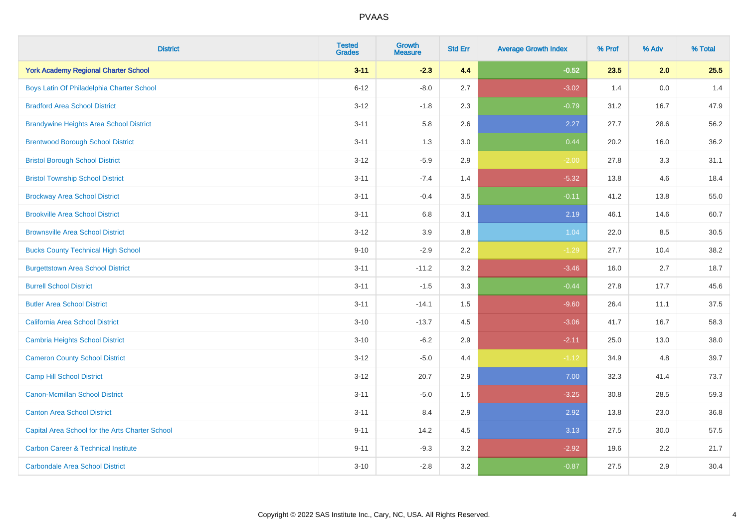| <b>District</b>                                 | <b>Tested</b><br><b>Grades</b> | <b>Growth</b><br><b>Measure</b> | <b>Std Err</b> | <b>Average Growth Index</b> | % Prof | % Adv | % Total |
|-------------------------------------------------|--------------------------------|---------------------------------|----------------|-----------------------------|--------|-------|---------|
| <b>York Academy Regional Charter School</b>     | $3 - 11$                       | $-2.3$                          | 4.4            | $-0.52$                     | 23.5   | 2.0   | 25.5    |
| Boys Latin Of Philadelphia Charter School       | $6 - 12$                       | $-8.0$                          | 2.7            | $-3.02$                     | 1.4    | 0.0   | 1.4     |
| <b>Bradford Area School District</b>            | $3 - 12$                       | $-1.8$                          | 2.3            | $-0.79$                     | 31.2   | 16.7  | 47.9    |
| <b>Brandywine Heights Area School District</b>  | $3 - 11$                       | 5.8                             | 2.6            | 2.27                        | 27.7   | 28.6  | 56.2    |
| <b>Brentwood Borough School District</b>        | $3 - 11$                       | 1.3                             | 3.0            | 0.44                        | 20.2   | 16.0  | 36.2    |
| <b>Bristol Borough School District</b>          | $3-12$                         | $-5.9$                          | 2.9            | $-2.00$                     | 27.8   | 3.3   | 31.1    |
| <b>Bristol Township School District</b>         | $3 - 11$                       | $-7.4$                          | 1.4            | $-5.32$                     | 13.8   | 4.6   | 18.4    |
| <b>Brockway Area School District</b>            | $3 - 11$                       | $-0.4$                          | 3.5            | $-0.11$                     | 41.2   | 13.8  | 55.0    |
| <b>Brookville Area School District</b>          | $3 - 11$                       | 6.8                             | 3.1            | 2.19                        | 46.1   | 14.6  | 60.7    |
| <b>Brownsville Area School District</b>         | $3 - 12$                       | 3.9                             | 3.8            | 1.04                        | 22.0   | 8.5   | 30.5    |
| <b>Bucks County Technical High School</b>       | $9 - 10$                       | $-2.9$                          | 2.2            | $-1.29$                     | 27.7   | 10.4  | 38.2    |
| <b>Burgettstown Area School District</b>        | $3 - 11$                       | $-11.2$                         | 3.2            | $-3.46$                     | 16.0   | 2.7   | 18.7    |
| <b>Burrell School District</b>                  | $3 - 11$                       | $-1.5$                          | 3.3            | $-0.44$                     | 27.8   | 17.7  | 45.6    |
| <b>Butler Area School District</b>              | $3 - 11$                       | $-14.1$                         | 1.5            | $-9.60$                     | 26.4   | 11.1  | 37.5    |
| California Area School District                 | $3 - 10$                       | $-13.7$                         | 4.5            | $-3.06$                     | 41.7   | 16.7  | 58.3    |
| <b>Cambria Heights School District</b>          | $3 - 10$                       | $-6.2$                          | 2.9            | $-2.11$                     | 25.0   | 13.0  | 38.0    |
| <b>Cameron County School District</b>           | $3-12$                         | $-5.0$                          | 4.4            | $-1.12$                     | 34.9   | 4.8   | 39.7    |
| <b>Camp Hill School District</b>                | $3 - 12$                       | 20.7                            | 2.9            | 7.00                        | 32.3   | 41.4  | 73.7    |
| Canon-Mcmillan School District                  | $3 - 11$                       | $-5.0$                          | 1.5            | $-3.25$                     | 30.8   | 28.5  | 59.3    |
| <b>Canton Area School District</b>              | $3 - 11$                       | 8.4                             | 2.9            | 2.92                        | 13.8   | 23.0  | 36.8    |
| Capital Area School for the Arts Charter School | $9 - 11$                       | 14.2                            | 4.5            | 3.13                        | 27.5   | 30.0  | 57.5    |
| <b>Carbon Career &amp; Technical Institute</b>  | $9 - 11$                       | $-9.3$                          | 3.2            | $-2.92$                     | 19.6   | 2.2   | 21.7    |
| <b>Carbondale Area School District</b>          | $3 - 10$                       | $-2.8$                          | 3.2            | $-0.87$                     | 27.5   | 2.9   | 30.4    |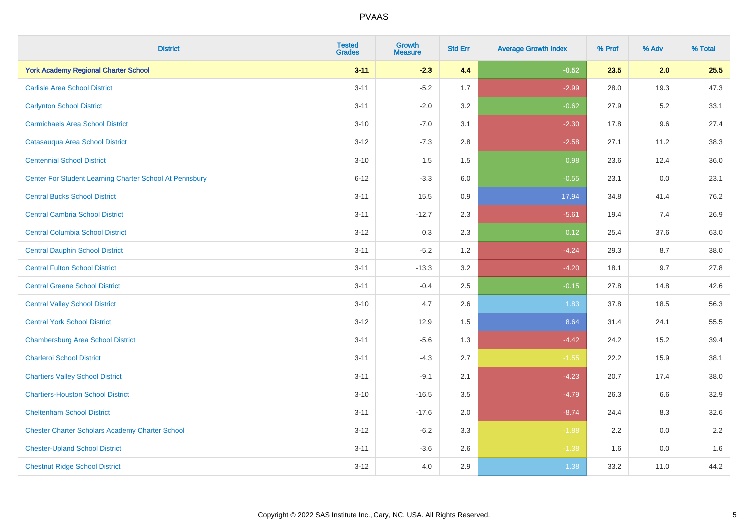| <b>District</b>                                         | <b>Tested</b><br><b>Grades</b> | <b>Growth</b><br><b>Measure</b> | <b>Std Err</b> | <b>Average Growth Index</b> | % Prof | % Adv | % Total |
|---------------------------------------------------------|--------------------------------|---------------------------------|----------------|-----------------------------|--------|-------|---------|
| <b>York Academy Regional Charter School</b>             | $3 - 11$                       | $-2.3$                          | 4.4            | $-0.52$                     | 23.5   | 2.0   | 25.5    |
| <b>Carlisle Area School District</b>                    | $3 - 11$                       | $-5.2$                          | 1.7            | $-2.99$                     | 28.0   | 19.3  | 47.3    |
| <b>Carlynton School District</b>                        | $3 - 11$                       | $-2.0$                          | 3.2            | $-0.62$                     | 27.9   | 5.2   | 33.1    |
| <b>Carmichaels Area School District</b>                 | $3 - 10$                       | $-7.0$                          | 3.1            | $-2.30$                     | 17.8   | 9.6   | 27.4    |
| Catasauqua Area School District                         | $3 - 12$                       | $-7.3$                          | 2.8            | $-2.58$                     | 27.1   | 11.2  | 38.3    |
| <b>Centennial School District</b>                       | $3 - 10$                       | 1.5                             | 1.5            | 0.98                        | 23.6   | 12.4  | 36.0    |
| Center For Student Learning Charter School At Pennsbury | $6 - 12$                       | $-3.3$                          | 6.0            | $-0.55$                     | 23.1   | 0.0   | 23.1    |
| <b>Central Bucks School District</b>                    | $3 - 11$                       | 15.5                            | 0.9            | 17.94                       | 34.8   | 41.4  | 76.2    |
| <b>Central Cambria School District</b>                  | $3 - 11$                       | $-12.7$                         | 2.3            | $-5.61$                     | 19.4   | 7.4   | 26.9    |
| <b>Central Columbia School District</b>                 | $3-12$                         | 0.3                             | 2.3            | 0.12                        | 25.4   | 37.6  | 63.0    |
| <b>Central Dauphin School District</b>                  | $3 - 11$                       | $-5.2$                          | 1.2            | $-4.24$                     | 29.3   | 8.7   | 38.0    |
| <b>Central Fulton School District</b>                   | $3 - 11$                       | $-13.3$                         | 3.2            | $-4.20$                     | 18.1   | 9.7   | 27.8    |
| <b>Central Greene School District</b>                   | $3 - 11$                       | $-0.4$                          | 2.5            | $-0.15$                     | 27.8   | 14.8  | 42.6    |
| <b>Central Valley School District</b>                   | $3 - 10$                       | 4.7                             | 2.6            | 1.83                        | 37.8   | 18.5  | 56.3    |
| <b>Central York School District</b>                     | $3-12$                         | 12.9                            | 1.5            | 8.64                        | 31.4   | 24.1  | 55.5    |
| <b>Chambersburg Area School District</b>                | $3 - 11$                       | $-5.6$                          | 1.3            | $-4.42$                     | 24.2   | 15.2  | 39.4    |
| <b>Charleroi School District</b>                        | $3 - 11$                       | $-4.3$                          | 2.7            | $-1.55$                     | 22.2   | 15.9  | 38.1    |
| <b>Chartiers Valley School District</b>                 | $3 - 11$                       | $-9.1$                          | 2.1            | $-4.23$                     | 20.7   | 17.4  | 38.0    |
| <b>Chartiers-Houston School District</b>                | $3 - 10$                       | $-16.5$                         | 3.5            | $-4.79$                     | 26.3   | 6.6   | 32.9    |
| <b>Cheltenham School District</b>                       | $3 - 11$                       | $-17.6$                         | 2.0            | $-8.74$                     | 24.4   | 8.3   | 32.6    |
| <b>Chester Charter Scholars Academy Charter School</b>  | $3 - 12$                       | $-6.2$                          | 3.3            | $-1.88$                     | 2.2    | 0.0   | 2.2     |
| <b>Chester-Upland School District</b>                   | $3 - 11$                       | $-3.6$                          | 2.6            | $-1.38$                     | 1.6    | 0.0   | 1.6     |
| <b>Chestnut Ridge School District</b>                   | $3 - 12$                       | 4.0                             | 2.9            | 1.38                        | 33.2   | 11.0  | 44.2    |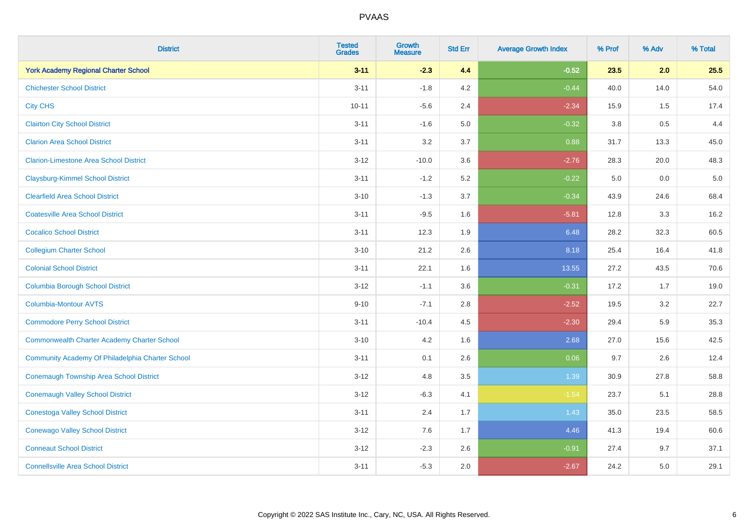| <b>District</b>                                    | <b>Tested</b><br><b>Grades</b> | Growth<br><b>Measure</b> | <b>Std Err</b> | <b>Average Growth Index</b> | % Prof  | % Adv | % Total |
|----------------------------------------------------|--------------------------------|--------------------------|----------------|-----------------------------|---------|-------|---------|
| <b>York Academy Regional Charter School</b>        | $3 - 11$                       | $-2.3$                   | 4.4            | $-0.52$                     | 23.5    | 2.0   | 25.5    |
| <b>Chichester School District</b>                  | $3 - 11$                       | $-1.8$                   | 4.2            | $-0.44$                     | 40.0    | 14.0  | 54.0    |
| <b>City CHS</b>                                    | $10 - 11$                      | $-5.6$                   | 2.4            | $-2.34$                     | 15.9    | 1.5   | 17.4    |
| <b>Clairton City School District</b>               | $3 - 11$                       | $-1.6$                   | 5.0            | $-0.32$                     | $3.8\,$ | 0.5   | 4.4     |
| <b>Clarion Area School District</b>                | $3 - 11$                       | 3.2                      | 3.7            | 0.88                        | 31.7    | 13.3  | 45.0    |
| <b>Clarion-Limestone Area School District</b>      | $3 - 12$                       | $-10.0$                  | 3.6            | $-2.76$                     | 28.3    | 20.0  | 48.3    |
| <b>Claysburg-Kimmel School District</b>            | $3 - 11$                       | $-1.2$                   | 5.2            | $-0.22$                     | 5.0     | 0.0   | $5.0$   |
| <b>Clearfield Area School District</b>             | $3 - 10$                       | $-1.3$                   | 3.7            | $-0.34$                     | 43.9    | 24.6  | 68.4    |
| <b>Coatesville Area School District</b>            | $3 - 11$                       | $-9.5$                   | 1.6            | $-5.81$                     | 12.8    | 3.3   | 16.2    |
| <b>Cocalico School District</b>                    | $3 - 11$                       | 12.3                     | 1.9            | 6.48                        | 28.2    | 32.3  | 60.5    |
| <b>Collegium Charter School</b>                    | $3 - 10$                       | 21.2                     | 2.6            | 8.18                        | 25.4    | 16.4  | 41.8    |
| <b>Colonial School District</b>                    | $3 - 11$                       | 22.1                     | 1.6            | 13.55                       | 27.2    | 43.5  | 70.6    |
| <b>Columbia Borough School District</b>            | $3 - 12$                       | $-1.1$                   | 3.6            | $-0.31$                     | 17.2    | 1.7   | 19.0    |
| Columbia-Montour AVTS                              | $9 - 10$                       | $-7.1$                   | 2.8            | $-2.52$                     | 19.5    | 3.2   | 22.7    |
| <b>Commodore Perry School District</b>             | $3 - 11$                       | $-10.4$                  | 4.5            | $-2.30$                     | 29.4    | 5.9   | 35.3    |
| <b>Commonwealth Charter Academy Charter School</b> | $3 - 10$                       | 4.2                      | 1.6            | 2.68                        | 27.0    | 15.6  | 42.5    |
| Community Academy Of Philadelphia Charter School   | $3 - 11$                       | 0.1                      | 2.6            | 0.06                        | 9.7     | 2.6   | 12.4    |
| Conemaugh Township Area School District            | $3 - 12$                       | 4.8                      | 3.5            | 1.39                        | 30.9    | 27.8  | 58.8    |
| <b>Conemaugh Valley School District</b>            | $3 - 12$                       | $-6.3$                   | 4.1            | $-1.54$                     | 23.7    | 5.1   | 28.8    |
| <b>Conestoga Valley School District</b>            | $3 - 11$                       | 2.4                      | 1.7            | 1.43                        | 35.0    | 23.5  | 58.5    |
| <b>Conewago Valley School District</b>             | $3 - 12$                       | 7.6                      | 1.7            | 4.46                        | 41.3    | 19.4  | 60.6    |
| <b>Conneaut School District</b>                    | $3 - 12$                       | $-2.3$                   | 2.6            | $-0.91$                     | 27.4    | 9.7   | 37.1    |
| <b>Connellsville Area School District</b>          | $3 - 11$                       | $-5.3$                   | 2.0            | $-2.67$                     | 24.2    | 5.0   | 29.1    |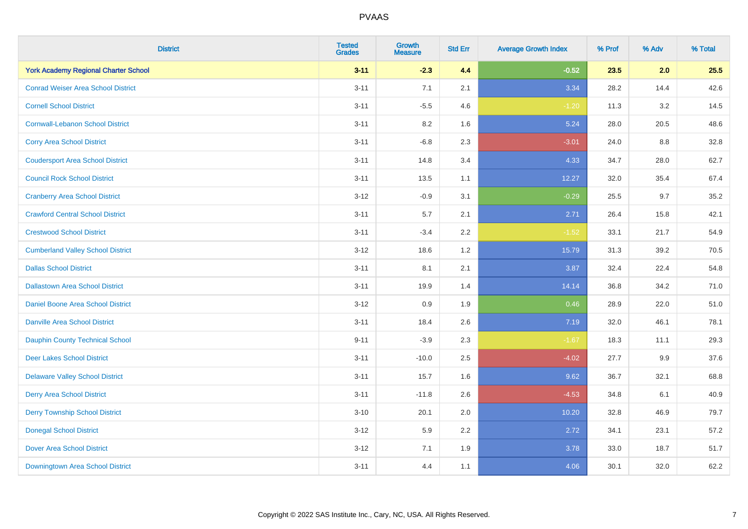| <b>District</b>                             | <b>Tested</b><br><b>Grades</b> | <b>Growth</b><br><b>Measure</b> | <b>Std Err</b> | <b>Average Growth Index</b> | % Prof | % Adv | % Total |
|---------------------------------------------|--------------------------------|---------------------------------|----------------|-----------------------------|--------|-------|---------|
| <b>York Academy Regional Charter School</b> | $3 - 11$                       | $-2.3$                          | 4.4            | $-0.52$                     | 23.5   | 2.0   | 25.5    |
| <b>Conrad Weiser Area School District</b>   | $3 - 11$                       | 7.1                             | 2.1            | 3.34                        | 28.2   | 14.4  | 42.6    |
| <b>Cornell School District</b>              | $3 - 11$                       | $-5.5$                          | 4.6            | $-1.20$                     | 11.3   | 3.2   | 14.5    |
| <b>Cornwall-Lebanon School District</b>     | $3 - 11$                       | 8.2                             | 1.6            | 5.24                        | 28.0   | 20.5  | 48.6    |
| <b>Corry Area School District</b>           | $3 - 11$                       | $-6.8$                          | 2.3            | $-3.01$                     | 24.0   | 8.8   | 32.8    |
| <b>Coudersport Area School District</b>     | $3 - 11$                       | 14.8                            | 3.4            | 4.33                        | 34.7   | 28.0  | 62.7    |
| <b>Council Rock School District</b>         | $3 - 11$                       | 13.5                            | 1.1            | 12.27                       | 32.0   | 35.4  | 67.4    |
| <b>Cranberry Area School District</b>       | $3 - 12$                       | $-0.9$                          | 3.1            | $-0.29$                     | 25.5   | 9.7   | 35.2    |
| <b>Crawford Central School District</b>     | $3 - 11$                       | 5.7                             | 2.1            | 2.71                        | 26.4   | 15.8  | 42.1    |
| <b>Crestwood School District</b>            | $3 - 11$                       | $-3.4$                          | 2.2            | $-1.52$                     | 33.1   | 21.7  | 54.9    |
| <b>Cumberland Valley School District</b>    | $3 - 12$                       | 18.6                            | 1.2            | 15.79                       | 31.3   | 39.2  | 70.5    |
| <b>Dallas School District</b>               | $3 - 11$                       | 8.1                             | 2.1            | 3.87                        | 32.4   | 22.4  | 54.8    |
| <b>Dallastown Area School District</b>      | $3 - 11$                       | 19.9                            | 1.4            | 14.14                       | 36.8   | 34.2  | 71.0    |
| <b>Daniel Boone Area School District</b>    | $3-12$                         | 0.9                             | 1.9            | 0.46                        | 28.9   | 22.0  | 51.0    |
| <b>Danville Area School District</b>        | $3 - 11$                       | 18.4                            | 2.6            | 7.19                        | 32.0   | 46.1  | 78.1    |
| <b>Dauphin County Technical School</b>      | $9 - 11$                       | $-3.9$                          | 2.3            | $-1.67$                     | 18.3   | 11.1  | 29.3    |
| <b>Deer Lakes School District</b>           | $3 - 11$                       | $-10.0$                         | 2.5            | $-4.02$                     | 27.7   | 9.9   | 37.6    |
| <b>Delaware Valley School District</b>      | $3 - 11$                       | 15.7                            | 1.6            | 9.62                        | 36.7   | 32.1  | 68.8    |
| <b>Derry Area School District</b>           | $3 - 11$                       | $-11.8$                         | 2.6            | $-4.53$                     | 34.8   | 6.1   | 40.9    |
| <b>Derry Township School District</b>       | $3 - 10$                       | 20.1                            | 2.0            | 10.20                       | 32.8   | 46.9  | 79.7    |
| <b>Donegal School District</b>              | $3-12$                         | 5.9                             | 2.2            | 2.72                        | 34.1   | 23.1  | 57.2    |
| <b>Dover Area School District</b>           | $3 - 12$                       | 7.1                             | 1.9            | 3.78                        | 33.0   | 18.7  | 51.7    |
| <b>Downingtown Area School District</b>     | $3 - 11$                       | 4.4                             | 1.1            | 4.06                        | 30.1   | 32.0  | 62.2    |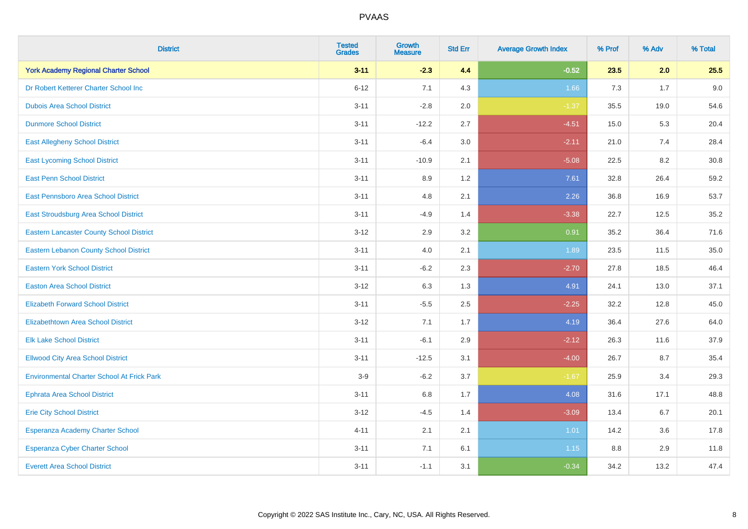| <b>District</b>                                   | <b>Tested</b><br><b>Grades</b> | Growth<br><b>Measure</b> | <b>Std Err</b> | <b>Average Growth Index</b> | % Prof | % Adv | % Total |
|---------------------------------------------------|--------------------------------|--------------------------|----------------|-----------------------------|--------|-------|---------|
| <b>York Academy Regional Charter School</b>       | $3 - 11$                       | $-2.3$                   | 4.4            | $-0.52$                     | 23.5   | 2.0   | 25.5    |
| Dr Robert Ketterer Charter School Inc             | $6 - 12$                       | 7.1                      | 4.3            | 1.66                        | 7.3    | 1.7   | 9.0     |
| <b>Dubois Area School District</b>                | $3 - 11$                       | $-2.8$                   | 2.0            | $-1.37$                     | 35.5   | 19.0  | 54.6    |
| <b>Dunmore School District</b>                    | $3 - 11$                       | $-12.2$                  | 2.7            | $-4.51$                     | 15.0   | 5.3   | 20.4    |
| <b>East Allegheny School District</b>             | $3 - 11$                       | $-6.4$                   | 3.0            | $-2.11$                     | 21.0   | 7.4   | 28.4    |
| <b>East Lycoming School District</b>              | $3 - 11$                       | $-10.9$                  | 2.1            | $-5.08$                     | 22.5   | 8.2   | 30.8    |
| <b>East Penn School District</b>                  | $3 - 11$                       | 8.9                      | 1.2            | 7.61                        | 32.8   | 26.4  | 59.2    |
| East Pennsboro Area School District               | $3 - 11$                       | 4.8                      | 2.1            | 2.26                        | 36.8   | 16.9  | 53.7    |
| East Stroudsburg Area School District             | $3 - 11$                       | $-4.9$                   | 1.4            | $-3.38$                     | 22.7   | 12.5  | 35.2    |
| <b>Eastern Lancaster County School District</b>   | $3 - 12$                       | 2.9                      | 3.2            | 0.91                        | 35.2   | 36.4  | 71.6    |
| <b>Eastern Lebanon County School District</b>     | $3 - 11$                       | 4.0                      | 2.1            | 1.89                        | 23.5   | 11.5  | 35.0    |
| <b>Eastern York School District</b>               | $3 - 11$                       | $-6.2$                   | 2.3            | $-2.70$                     | 27.8   | 18.5  | 46.4    |
| <b>Easton Area School District</b>                | $3 - 12$                       | 6.3                      | 1.3            | 4.91                        | 24.1   | 13.0  | 37.1    |
| <b>Elizabeth Forward School District</b>          | $3 - 11$                       | $-5.5$                   | 2.5            | $-2.25$                     | 32.2   | 12.8  | 45.0    |
| <b>Elizabethtown Area School District</b>         | $3 - 12$                       | 7.1                      | 1.7            | 4.19                        | 36.4   | 27.6  | 64.0    |
| <b>Elk Lake School District</b>                   | $3 - 11$                       | $-6.1$                   | 2.9            | $-2.12$                     | 26.3   | 11.6  | 37.9    |
| <b>Ellwood City Area School District</b>          | $3 - 11$                       | $-12.5$                  | 3.1            | $-4.00$                     | 26.7   | 8.7   | 35.4    |
| <b>Environmental Charter School At Frick Park</b> | $3-9$                          | $-6.2$                   | 3.7            | $-1.67$                     | 25.9   | 3.4   | 29.3    |
| <b>Ephrata Area School District</b>               | $3 - 11$                       | 6.8                      | 1.7            | 4.08                        | 31.6   | 17.1  | 48.8    |
| <b>Erie City School District</b>                  | $3 - 12$                       | $-4.5$                   | 1.4            | $-3.09$                     | 13.4   | 6.7   | 20.1    |
| Esperanza Academy Charter School                  | $4 - 11$                       | 2.1                      | 2.1            | 1.01                        | 14.2   | 3.6   | 17.8    |
| <b>Esperanza Cyber Charter School</b>             | $3 - 11$                       | 7.1                      | 6.1            | 1.15                        | 8.8    | 2.9   | 11.8    |
| <b>Everett Area School District</b>               | $3 - 11$                       | $-1.1$                   | 3.1            | $-0.34$                     | 34.2   | 13.2  | 47.4    |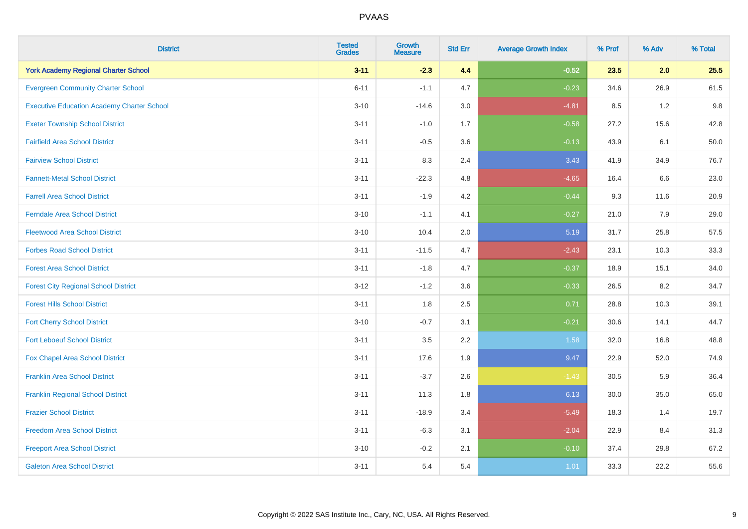| <b>District</b>                                   | <b>Tested</b><br><b>Grades</b> | <b>Growth</b><br><b>Measure</b> | <b>Std Err</b> | <b>Average Growth Index</b> | % Prof | % Adv | % Total |
|---------------------------------------------------|--------------------------------|---------------------------------|----------------|-----------------------------|--------|-------|---------|
| <b>York Academy Regional Charter School</b>       | $3 - 11$                       | $-2.3$                          | 4.4            | $-0.52$                     | 23.5   | 2.0   | 25.5    |
| <b>Evergreen Community Charter School</b>         | $6 - 11$                       | $-1.1$                          | 4.7            | $-0.23$                     | 34.6   | 26.9  | 61.5    |
| <b>Executive Education Academy Charter School</b> | $3 - 10$                       | $-14.6$                         | 3.0            | $-4.81$                     | 8.5    | 1.2   | 9.8     |
| <b>Exeter Township School District</b>            | $3 - 11$                       | $-1.0$                          | 1.7            | $-0.58$                     | 27.2   | 15.6  | 42.8    |
| <b>Fairfield Area School District</b>             | $3 - 11$                       | $-0.5$                          | 3.6            | $-0.13$                     | 43.9   | 6.1   | 50.0    |
| <b>Fairview School District</b>                   | $3 - 11$                       | 8.3                             | 2.4            | 3.43                        | 41.9   | 34.9  | 76.7    |
| <b>Fannett-Metal School District</b>              | $3 - 11$                       | $-22.3$                         | 4.8            | $-4.65$                     | 16.4   | 6.6   | 23.0    |
| <b>Farrell Area School District</b>               | $3 - 11$                       | $-1.9$                          | 4.2            | $-0.44$                     | 9.3    | 11.6  | 20.9    |
| <b>Ferndale Area School District</b>              | $3 - 10$                       | $-1.1$                          | 4.1            | $-0.27$                     | 21.0   | 7.9   | 29.0    |
| <b>Fleetwood Area School District</b>             | $3 - 10$                       | 10.4                            | 2.0            | 5.19                        | 31.7   | 25.8  | 57.5    |
| <b>Forbes Road School District</b>                | $3 - 11$                       | $-11.5$                         | 4.7            | $-2.43$                     | 23.1   | 10.3  | 33.3    |
| <b>Forest Area School District</b>                | $3 - 11$                       | $-1.8$                          | 4.7            | $-0.37$                     | 18.9   | 15.1  | 34.0    |
| <b>Forest City Regional School District</b>       | $3 - 12$                       | $-1.2$                          | 3.6            | $-0.33$                     | 26.5   | 8.2   | 34.7    |
| <b>Forest Hills School District</b>               | $3 - 11$                       | 1.8                             | 2.5            | 0.71                        | 28.8   | 10.3  | 39.1    |
| <b>Fort Cherry School District</b>                | $3 - 10$                       | $-0.7$                          | 3.1            | $-0.21$                     | 30.6   | 14.1  | 44.7    |
| <b>Fort Leboeuf School District</b>               | $3 - 11$                       | 3.5                             | 2.2            | 1.58                        | 32.0   | 16.8  | 48.8    |
| Fox Chapel Area School District                   | $3 - 11$                       | 17.6                            | 1.9            | 9.47                        | 22.9   | 52.0  | 74.9    |
| <b>Franklin Area School District</b>              | $3 - 11$                       | $-3.7$                          | 2.6            | $-1.43$                     | 30.5   | 5.9   | 36.4    |
| <b>Franklin Regional School District</b>          | $3 - 11$                       | 11.3                            | 1.8            | 6.13                        | 30.0   | 35.0  | 65.0    |
| <b>Frazier School District</b>                    | $3 - 11$                       | $-18.9$                         | 3.4            | $-5.49$                     | 18.3   | 1.4   | 19.7    |
| <b>Freedom Area School District</b>               | $3 - 11$                       | $-6.3$                          | 3.1            | $-2.04$                     | 22.9   | 8.4   | 31.3    |
| <b>Freeport Area School District</b>              | $3 - 10$                       | $-0.2$                          | 2.1            | $-0.10$                     | 37.4   | 29.8  | 67.2    |
| <b>Galeton Area School District</b>               | $3 - 11$                       | 5.4                             | 5.4            | 1.01                        | 33.3   | 22.2  | 55.6    |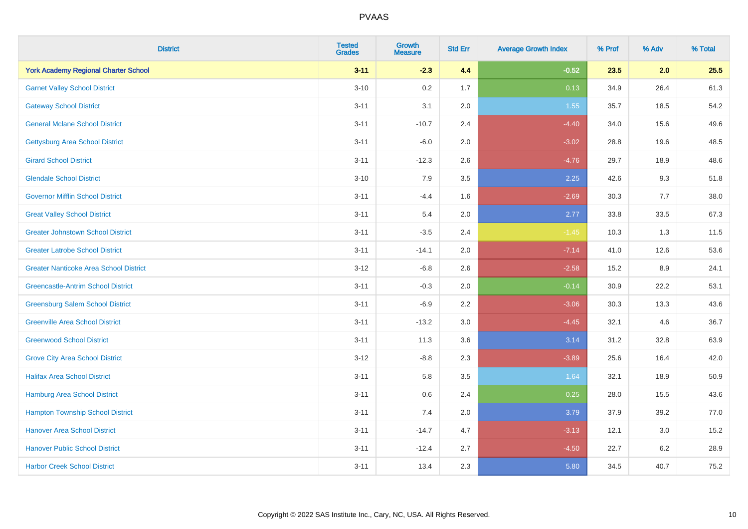| <b>District</b>                               | <b>Tested</b><br><b>Grades</b> | <b>Growth</b><br><b>Measure</b> | <b>Std Err</b> | <b>Average Growth Index</b> | % Prof | % Adv   | % Total |
|-----------------------------------------------|--------------------------------|---------------------------------|----------------|-----------------------------|--------|---------|---------|
| <b>York Academy Regional Charter School</b>   | $3 - 11$                       | $-2.3$                          | 4.4            | $-0.52$                     | 23.5   | 2.0     | 25.5    |
| <b>Garnet Valley School District</b>          | $3 - 10$                       | 0.2                             | 1.7            | 0.13                        | 34.9   | 26.4    | 61.3    |
| <b>Gateway School District</b>                | $3 - 11$                       | 3.1                             | 2.0            | 1.55                        | 35.7   | 18.5    | 54.2    |
| <b>General Mclane School District</b>         | $3 - 11$                       | $-10.7$                         | 2.4            | $-4.40$                     | 34.0   | 15.6    | 49.6    |
| <b>Gettysburg Area School District</b>        | $3 - 11$                       | $-6.0$                          | 2.0            | $-3.02$                     | 28.8   | 19.6    | 48.5    |
| <b>Girard School District</b>                 | $3 - 11$                       | $-12.3$                         | 2.6            | $-4.76$                     | 29.7   | 18.9    | 48.6    |
| <b>Glendale School District</b>               | $3 - 10$                       | 7.9                             | 3.5            | 2.25                        | 42.6   | 9.3     | 51.8    |
| <b>Governor Mifflin School District</b>       | $3 - 11$                       | $-4.4$                          | 1.6            | $-2.69$                     | 30.3   | 7.7     | 38.0    |
| <b>Great Valley School District</b>           | $3 - 11$                       | 5.4                             | 2.0            | 2.77                        | 33.8   | 33.5    | 67.3    |
| <b>Greater Johnstown School District</b>      | $3 - 11$                       | $-3.5$                          | 2.4            | $-1.45$                     | 10.3   | 1.3     | 11.5    |
| <b>Greater Latrobe School District</b>        | $3 - 11$                       | $-14.1$                         | 2.0            | $-7.14$                     | 41.0   | 12.6    | 53.6    |
| <b>Greater Nanticoke Area School District</b> | $3 - 12$                       | $-6.8$                          | 2.6            | $-2.58$                     | 15.2   | 8.9     | 24.1    |
| <b>Greencastle-Antrim School District</b>     | $3 - 11$                       | $-0.3$                          | 2.0            | $-0.14$                     | 30.9   | 22.2    | 53.1    |
| <b>Greensburg Salem School District</b>       | $3 - 11$                       | $-6.9$                          | 2.2            | $-3.06$                     | 30.3   | 13.3    | 43.6    |
| <b>Greenville Area School District</b>        | $3 - 11$                       | $-13.2$                         | 3.0            | $-4.45$                     | 32.1   | 4.6     | 36.7    |
| <b>Greenwood School District</b>              | $3 - 11$                       | 11.3                            | 3.6            | 3.14                        | 31.2   | 32.8    | 63.9    |
| <b>Grove City Area School District</b>        | $3 - 12$                       | $-8.8$                          | 2.3            | $-3.89$                     | 25.6   | 16.4    | 42.0    |
| <b>Halifax Area School District</b>           | $3 - 11$                       | 5.8                             | 3.5            | 1.64                        | 32.1   | 18.9    | 50.9    |
| <b>Hamburg Area School District</b>           | $3 - 11$                       | 0.6                             | 2.4            | 0.25                        | 28.0   | 15.5    | 43.6    |
| <b>Hampton Township School District</b>       | $3 - 11$                       | 7.4                             | 2.0            | 3.79                        | 37.9   | 39.2    | 77.0    |
| <b>Hanover Area School District</b>           | $3 - 11$                       | $-14.7$                         | 4.7            | $-3.13$                     | 12.1   | 3.0     | 15.2    |
| <b>Hanover Public School District</b>         | $3 - 11$                       | $-12.4$                         | 2.7            | $-4.50$                     | 22.7   | $6.2\,$ | 28.9    |
| <b>Harbor Creek School District</b>           | $3 - 11$                       | 13.4                            | 2.3            | 5.80                        | 34.5   | 40.7    | 75.2    |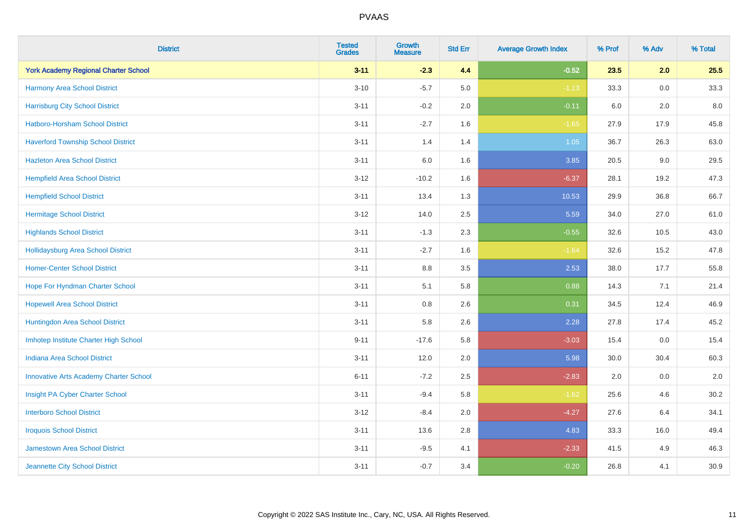| <b>District</b>                               | <b>Tested</b><br><b>Grades</b> | <b>Growth</b><br><b>Measure</b> | <b>Std Err</b> | <b>Average Growth Index</b> | % Prof | % Adv   | % Total |
|-----------------------------------------------|--------------------------------|---------------------------------|----------------|-----------------------------|--------|---------|---------|
| <b>York Academy Regional Charter School</b>   | $3 - 11$                       | $-2.3$                          | 4.4            | $-0.52$                     | 23.5   | 2.0     | 25.5    |
| Harmony Area School District                  | $3 - 10$                       | $-5.7$                          | $5.0\,$        | $-1.13$                     | 33.3   | $0.0\,$ | 33.3    |
| <b>Harrisburg City School District</b>        | $3 - 11$                       | $-0.2$                          | 2.0            | $-0.11$                     | 6.0    | $2.0\,$ | 8.0     |
| <b>Hatboro-Horsham School District</b>        | $3 - 11$                       | $-2.7$                          | 1.6            | $-1.65$                     | 27.9   | 17.9    | 45.8    |
| <b>Haverford Township School District</b>     | $3 - 11$                       | 1.4                             | 1.4            | 1.05                        | 36.7   | 26.3    | 63.0    |
| <b>Hazleton Area School District</b>          | $3 - 11$                       | $6.0\,$                         | 1.6            | 3.85                        | 20.5   | $9.0\,$ | 29.5    |
| <b>Hempfield Area School District</b>         | $3-12$                         | $-10.2$                         | 1.6            | $-6.37$                     | 28.1   | 19.2    | 47.3    |
| <b>Hempfield School District</b>              | $3 - 11$                       | 13.4                            | 1.3            | 10.53                       | 29.9   | 36.8    | 66.7    |
| <b>Hermitage School District</b>              | $3-12$                         | 14.0                            | 2.5            | 5.59                        | 34.0   | 27.0    | 61.0    |
| <b>Highlands School District</b>              | $3 - 11$                       | $-1.3$                          | 2.3            | $-0.55$                     | 32.6   | 10.5    | 43.0    |
| Hollidaysburg Area School District            | $3 - 11$                       | $-2.7$                          | 1.6            | $-1.64$                     | 32.6   | 15.2    | 47.8    |
| <b>Homer-Center School District</b>           | $3 - 11$                       | 8.8                             | 3.5            | 2.53                        | 38.0   | 17.7    | 55.8    |
| Hope For Hyndman Charter School               | $3 - 11$                       | 5.1                             | 5.8            | 0.88                        | 14.3   | 7.1     | 21.4    |
| <b>Hopewell Area School District</b>          | $3 - 11$                       | 0.8                             | 2.6            | 0.31                        | 34.5   | 12.4    | 46.9    |
| Huntingdon Area School District               | $3 - 11$                       | 5.8                             | 2.6            | 2.28                        | 27.8   | 17.4    | 45.2    |
| Imhotep Institute Charter High School         | $9 - 11$                       | $-17.6$                         | 5.8            | $-3.03$                     | 15.4   | 0.0     | 15.4    |
| <b>Indiana Area School District</b>           | $3 - 11$                       | 12.0                            | 2.0            | 5.98                        | 30.0   | 30.4    | 60.3    |
| <b>Innovative Arts Academy Charter School</b> | $6 - 11$                       | $-7.2$                          | 2.5            | $-2.83$                     | 2.0    | 0.0     | 2.0     |
| Insight PA Cyber Charter School               | $3 - 11$                       | $-9.4$                          | 5.8            | $-1.62$                     | 25.6   | 4.6     | 30.2    |
| <b>Interboro School District</b>              | $3 - 12$                       | $-8.4$                          | 2.0            | $-4.27$                     | 27.6   | 6.4     | 34.1    |
| <b>Iroquois School District</b>               | $3 - 11$                       | 13.6                            | 2.8            | 4.83                        | 33.3   | 16.0    | 49.4    |
| <b>Jamestown Area School District</b>         | $3 - 11$                       | $-9.5$                          | 4.1            | $-2.33$                     | 41.5   | 4.9     | 46.3    |
| Jeannette City School District                | $3 - 11$                       | $-0.7$                          | 3.4            | $-0.20$                     | 26.8   | 4.1     | 30.9    |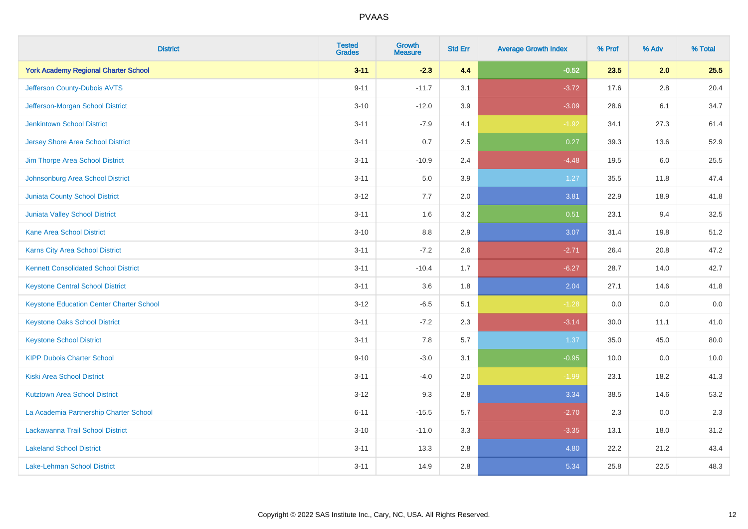| <b>District</b>                                 | <b>Tested</b><br><b>Grades</b> | <b>Growth</b><br><b>Measure</b> | <b>Std Err</b> | <b>Average Growth Index</b> | % Prof | % Adv   | % Total |
|-------------------------------------------------|--------------------------------|---------------------------------|----------------|-----------------------------|--------|---------|---------|
| <b>York Academy Regional Charter School</b>     | $3 - 11$                       | $-2.3$                          | 4.4            | $-0.52$                     | 23.5   | 2.0     | 25.5    |
| Jefferson County-Dubois AVTS                    | $9 - 11$                       | $-11.7$                         | 3.1            | $-3.72$                     | 17.6   | $2.8\,$ | 20.4    |
| Jefferson-Morgan School District                | $3 - 10$                       | $-12.0$                         | 3.9            | $-3.09$                     | 28.6   | 6.1     | 34.7    |
| <b>Jenkintown School District</b>               | $3 - 11$                       | $-7.9$                          | 4.1            | $-1.92$                     | 34.1   | 27.3    | 61.4    |
| <b>Jersey Shore Area School District</b>        | $3 - 11$                       | 0.7                             | 2.5            | 0.27                        | 39.3   | 13.6    | 52.9    |
| Jim Thorpe Area School District                 | $3 - 11$                       | $-10.9$                         | 2.4            | $-4.48$                     | 19.5   | 6.0     | 25.5    |
| Johnsonburg Area School District                | $3 - 11$                       | 5.0                             | 3.9            | 1.27                        | 35.5   | 11.8    | 47.4    |
| <b>Juniata County School District</b>           | $3 - 12$                       | 7.7                             | 2.0            | 3.81                        | 22.9   | 18.9    | 41.8    |
| Juniata Valley School District                  | $3 - 11$                       | 1.6                             | 3.2            | 0.51                        | 23.1   | 9.4     | 32.5    |
| <b>Kane Area School District</b>                | $3 - 10$                       | 8.8                             | 2.9            | 3.07                        | 31.4   | 19.8    | 51.2    |
| Karns City Area School District                 | $3 - 11$                       | $-7.2$                          | 2.6            | $-2.71$                     | 26.4   | 20.8    | 47.2    |
| <b>Kennett Consolidated School District</b>     | $3 - 11$                       | $-10.4$                         | 1.7            | $-6.27$                     | 28.7   | 14.0    | 42.7    |
| <b>Keystone Central School District</b>         | $3 - 11$                       | 3.6                             | 1.8            | 2.04                        | 27.1   | 14.6    | 41.8    |
| <b>Keystone Education Center Charter School</b> | $3 - 12$                       | $-6.5$                          | 5.1            | $-1.28$                     | 0.0    | 0.0     | $0.0\,$ |
| <b>Keystone Oaks School District</b>            | $3 - 11$                       | $-7.2$                          | 2.3            | $-3.14$                     | 30.0   | 11.1    | 41.0    |
| <b>Keystone School District</b>                 | $3 - 11$                       | 7.8                             | 5.7            | 1.37                        | 35.0   | 45.0    | 80.0    |
| <b>KIPP Dubois Charter School</b>               | $9 - 10$                       | $-3.0$                          | 3.1            | $-0.95$                     | 10.0   | 0.0     | 10.0    |
| <b>Kiski Area School District</b>               | $3 - 11$                       | $-4.0$                          | 2.0            | $-1.99$                     | 23.1   | 18.2    | 41.3    |
| <b>Kutztown Area School District</b>            | $3 - 12$                       | 9.3                             | 2.8            | 3.34                        | 38.5   | 14.6    | 53.2    |
| La Academia Partnership Charter School          | $6 - 11$                       | $-15.5$                         | 5.7            | $-2.70$                     | 2.3    | 0.0     | 2.3     |
| Lackawanna Trail School District                | $3 - 10$                       | $-11.0$                         | 3.3            | $-3.35$                     | 13.1   | 18.0    | 31.2    |
| <b>Lakeland School District</b>                 | $3 - 11$                       | 13.3                            | 2.8            | 4.80                        | 22.2   | 21.2    | 43.4    |
| Lake-Lehman School District                     | $3 - 11$                       | 14.9                            | 2.8            | 5.34                        | 25.8   | 22.5    | 48.3    |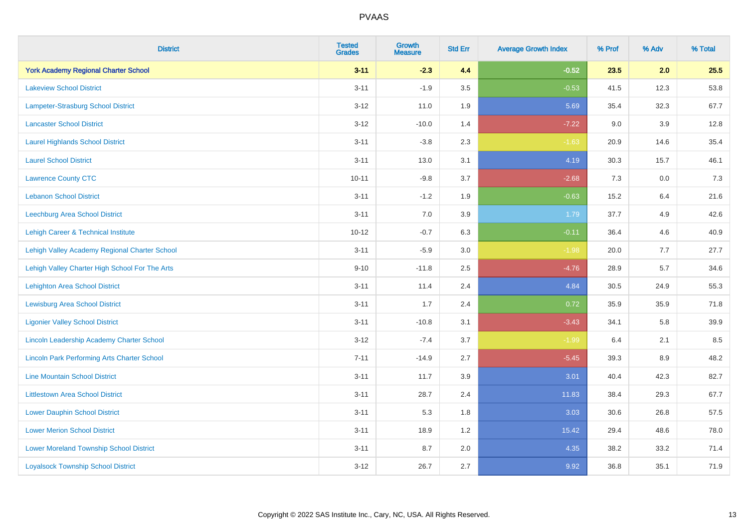| <b>District</b>                                    | <b>Tested</b><br><b>Grades</b> | <b>Growth</b><br><b>Measure</b> | <b>Std Err</b> | <b>Average Growth Index</b> | % Prof | % Adv | % Total |
|----------------------------------------------------|--------------------------------|---------------------------------|----------------|-----------------------------|--------|-------|---------|
| <b>York Academy Regional Charter School</b>        | $3 - 11$                       | $-2.3$                          | 4.4            | $-0.52$                     | 23.5   | 2.0   | 25.5    |
| <b>Lakeview School District</b>                    | $3 - 11$                       | $-1.9$                          | 3.5            | $-0.53$                     | 41.5   | 12.3  | 53.8    |
| Lampeter-Strasburg School District                 | $3 - 12$                       | 11.0                            | 1.9            | 5.69                        | 35.4   | 32.3  | 67.7    |
| <b>Lancaster School District</b>                   | $3 - 12$                       | $-10.0$                         | 1.4            | $-7.22$                     | 9.0    | 3.9   | 12.8    |
| <b>Laurel Highlands School District</b>            | $3 - 11$                       | $-3.8$                          | 2.3            | $-1.63$                     | 20.9   | 14.6  | 35.4    |
| <b>Laurel School District</b>                      | $3 - 11$                       | 13.0                            | 3.1            | 4.19                        | 30.3   | 15.7  | 46.1    |
| <b>Lawrence County CTC</b>                         | $10 - 11$                      | $-9.8$                          | 3.7            | $-2.68$                     | 7.3    | 0.0   | 7.3     |
| <b>Lebanon School District</b>                     | $3 - 11$                       | $-1.2$                          | 1.9            | $-0.63$                     | 15.2   | 6.4   | 21.6    |
| Leechburg Area School District                     | $3 - 11$                       | 7.0                             | 3.9            | 1.79                        | 37.7   | 4.9   | 42.6    |
| <b>Lehigh Career &amp; Technical Institute</b>     | $10 - 12$                      | $-0.7$                          | 6.3            | $-0.11$                     | 36.4   | 4.6   | 40.9    |
| Lehigh Valley Academy Regional Charter School      | $3 - 11$                       | $-5.9$                          | 3.0            | $-1.98$                     | 20.0   | 7.7   | 27.7    |
| Lehigh Valley Charter High School For The Arts     | $9 - 10$                       | $-11.8$                         | 2.5            | $-4.76$                     | 28.9   | 5.7   | 34.6    |
| <b>Lehighton Area School District</b>              | $3 - 11$                       | 11.4                            | 2.4            | 4.84                        | 30.5   | 24.9  | 55.3    |
| <b>Lewisburg Area School District</b>              | $3 - 11$                       | 1.7                             | 2.4            | 0.72                        | 35.9   | 35.9  | 71.8    |
| <b>Ligonier Valley School District</b>             | $3 - 11$                       | $-10.8$                         | 3.1            | $-3.43$                     | 34.1   | 5.8   | 39.9    |
| Lincoln Leadership Academy Charter School          | $3 - 12$                       | $-7.4$                          | 3.7            | $-1.99$                     | 6.4    | 2.1   | 8.5     |
| <b>Lincoln Park Performing Arts Charter School</b> | $7 - 11$                       | $-14.9$                         | 2.7            | $-5.45$                     | 39.3   | 8.9   | 48.2    |
| <b>Line Mountain School District</b>               | $3 - 11$                       | 11.7                            | 3.9            | 3.01                        | 40.4   | 42.3  | 82.7    |
| <b>Littlestown Area School District</b>            | $3 - 11$                       | 28.7                            | 2.4            | 11.83                       | 38.4   | 29.3  | 67.7    |
| <b>Lower Dauphin School District</b>               | $3 - 11$                       | 5.3                             | 1.8            | 3.03                        | 30.6   | 26.8  | 57.5    |
| <b>Lower Merion School District</b>                | $3 - 11$                       | 18.9                            | 1.2            | 15.42                       | 29.4   | 48.6  | 78.0    |
| <b>Lower Moreland Township School District</b>     | $3 - 11$                       | 8.7                             | 2.0            | 4.35                        | 38.2   | 33.2  | 71.4    |
| <b>Loyalsock Township School District</b>          | $3 - 12$                       | 26.7                            | 2.7            | 9.92                        | 36.8   | 35.1  | 71.9    |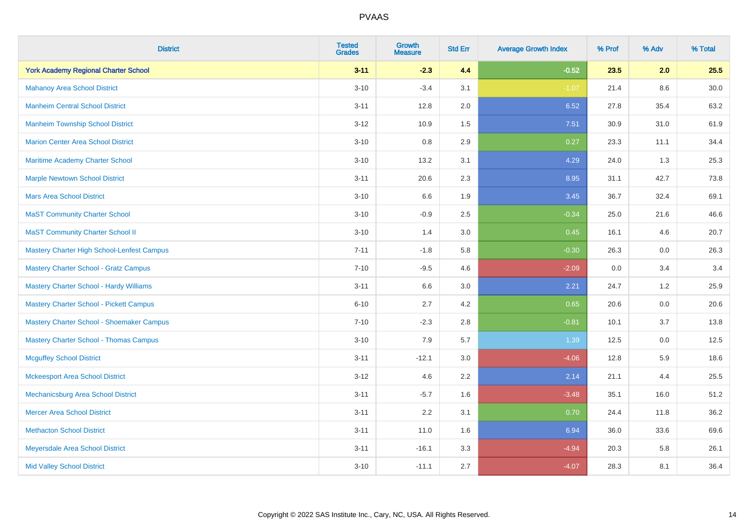| <b>District</b>                                | <b>Tested</b><br><b>Grades</b> | <b>Growth</b><br><b>Measure</b> | <b>Std Err</b> | <b>Average Growth Index</b> | % Prof | % Adv   | % Total  |
|------------------------------------------------|--------------------------------|---------------------------------|----------------|-----------------------------|--------|---------|----------|
| <b>York Academy Regional Charter School</b>    | $3 - 11$                       | $-2.3$                          | 4.4            | $-0.52$                     | 23.5   | 2.0     | 25.5     |
| <b>Mahanoy Area School District</b>            | $3 - 10$                       | $-3.4$                          | 3.1            | $-1.07$                     | 21.4   | $8.6\,$ | $30.0\,$ |
| <b>Manheim Central School District</b>         | $3 - 11$                       | 12.8                            | 2.0            | 6.52                        | 27.8   | 35.4    | 63.2     |
| <b>Manheim Township School District</b>        | $3 - 12$                       | 10.9                            | 1.5            | 7.51                        | 30.9   | 31.0    | 61.9     |
| <b>Marion Center Area School District</b>      | $3 - 10$                       | 0.8                             | 2.9            | 0.27                        | 23.3   | 11.1    | 34.4     |
| Maritime Academy Charter School                | $3 - 10$                       | 13.2                            | 3.1            | 4.29                        | 24.0   | 1.3     | 25.3     |
| <b>Marple Newtown School District</b>          | $3 - 11$                       | 20.6                            | 2.3            | 8.95                        | 31.1   | 42.7    | 73.8     |
| <b>Mars Area School District</b>               | $3 - 10$                       | 6.6                             | 1.9            | 3.45                        | 36.7   | 32.4    | 69.1     |
| <b>MaST Community Charter School</b>           | $3 - 10$                       | $-0.9$                          | 2.5            | $-0.34$                     | 25.0   | 21.6    | 46.6     |
| <b>MaST Community Charter School II</b>        | $3 - 10$                       | 1.4                             | 3.0            | 0.45                        | 16.1   | 4.6     | 20.7     |
| Mastery Charter High School-Lenfest Campus     | $7 - 11$                       | $-1.8$                          | 5.8            | $-0.30$                     | 26.3   | 0.0     | 26.3     |
| <b>Mastery Charter School - Gratz Campus</b>   | $7 - 10$                       | $-9.5$                          | 4.6            | $-2.09$                     | 0.0    | 3.4     | 3.4      |
| Mastery Charter School - Hardy Williams        | $3 - 11$                       | 6.6                             | 3.0            | 2.21                        | 24.7   | 1.2     | 25.9     |
| <b>Mastery Charter School - Pickett Campus</b> | $6 - 10$                       | 2.7                             | 4.2            | 0.65                        | 20.6   | 0.0     | 20.6     |
| Mastery Charter School - Shoemaker Campus      | $7 - 10$                       | $-2.3$                          | 2.8            | $-0.81$                     | 10.1   | 3.7     | 13.8     |
| <b>Mastery Charter School - Thomas Campus</b>  | $3 - 10$                       | 7.9                             | 5.7            | 1.39                        | 12.5   | $0.0\,$ | 12.5     |
| <b>Mcguffey School District</b>                | $3 - 11$                       | $-12.1$                         | 3.0            | $-4.06$                     | 12.8   | 5.9     | 18.6     |
| <b>Mckeesport Area School District</b>         | $3 - 12$                       | 4.6                             | 2.2            | 2.14                        | 21.1   | 4.4     | 25.5     |
| Mechanicsburg Area School District             | $3 - 11$                       | $-5.7$                          | 1.6            | $-3.48$                     | 35.1   | 16.0    | 51.2     |
| <b>Mercer Area School District</b>             | $3 - 11$                       | 2.2                             | 3.1            | 0.70                        | 24.4   | 11.8    | 36.2     |
| <b>Methacton School District</b>               | $3 - 11$                       | 11.0                            | 1.6            | 6.94                        | 36.0   | 33.6    | 69.6     |
| Meyersdale Area School District                | $3 - 11$                       | $-16.1$                         | 3.3            | $-4.94$                     | 20.3   | 5.8     | 26.1     |
| <b>Mid Valley School District</b>              | $3 - 10$                       | $-11.1$                         | 2.7            | $-4.07$                     | 28.3   | 8.1     | 36.4     |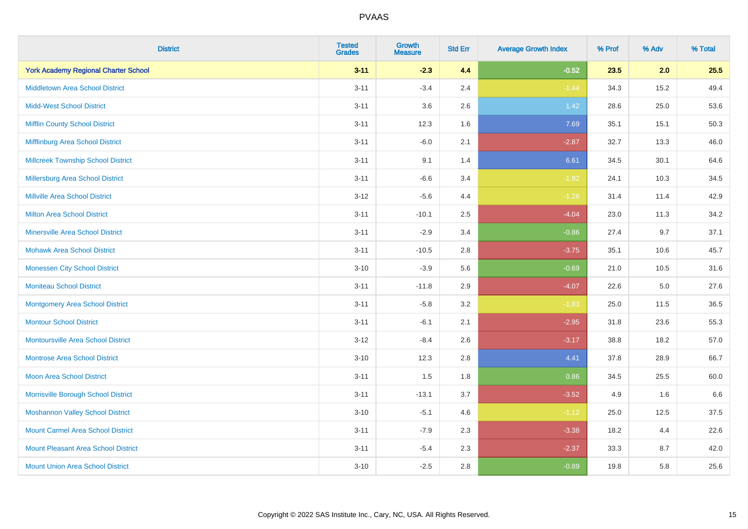| <b>District</b>                             | <b>Tested</b><br><b>Grades</b> | <b>Growth</b><br><b>Measure</b> | <b>Std Err</b> | <b>Average Growth Index</b> | % Prof | % Adv   | % Total |
|---------------------------------------------|--------------------------------|---------------------------------|----------------|-----------------------------|--------|---------|---------|
| <b>York Academy Regional Charter School</b> | $3 - 11$                       | $-2.3$                          | 4.4            | $-0.52$                     | 23.5   | 2.0     | 25.5    |
| <b>Middletown Area School District</b>      | $3 - 11$                       | $-3.4$                          | 2.4            | $-1.44$                     | 34.3   | 15.2    | 49.4    |
| <b>Midd-West School District</b>            | $3 - 11$                       | 3.6                             | 2.6            | 1.42                        | 28.6   | 25.0    | 53.6    |
| <b>Mifflin County School District</b>       | $3 - 11$                       | 12.3                            | 1.6            | 7.69                        | 35.1   | 15.1    | 50.3    |
| Mifflinburg Area School District            | $3 - 11$                       | $-6.0$                          | 2.1            | $-2.87$                     | 32.7   | 13.3    | 46.0    |
| <b>Millcreek Township School District</b>   | $3 - 11$                       | 9.1                             | 1.4            | 6.61                        | 34.5   | 30.1    | 64.6    |
| Millersburg Area School District            | $3 - 11$                       | $-6.6$                          | 3.4            | $-1.92$                     | 24.1   | 10.3    | 34.5    |
| <b>Millville Area School District</b>       | $3 - 12$                       | $-5.6$                          | 4.4            | $-1.26$                     | 31.4   | 11.4    | 42.9    |
| <b>Milton Area School District</b>          | $3 - 11$                       | $-10.1$                         | 2.5            | $-4.04$                     | 23.0   | 11.3    | 34.2    |
| <b>Minersville Area School District</b>     | $3 - 11$                       | $-2.9$                          | 3.4            | $-0.86$                     | 27.4   | 9.7     | 37.1    |
| <b>Mohawk Area School District</b>          | $3 - 11$                       | $-10.5$                         | 2.8            | $-3.75$                     | 35.1   | 10.6    | 45.7    |
| <b>Monessen City School District</b>        | $3 - 10$                       | $-3.9$                          | 5.6            | $-0.69$                     | 21.0   | 10.5    | 31.6    |
| <b>Moniteau School District</b>             | $3 - 11$                       | $-11.8$                         | 2.9            | $-4.07$                     | 22.6   | $5.0\,$ | 27.6    |
| <b>Montgomery Area School District</b>      | $3 - 11$                       | $-5.8$                          | 3.2            | $-1.83$                     | 25.0   | 11.5    | 36.5    |
| <b>Montour School District</b>              | $3 - 11$                       | $-6.1$                          | 2.1            | $-2.95$                     | 31.8   | 23.6    | 55.3    |
| <b>Montoursville Area School District</b>   | $3 - 12$                       | $-8.4$                          | 2.6            | $-3.17$                     | 38.8   | 18.2    | 57.0    |
| <b>Montrose Area School District</b>        | $3 - 10$                       | 12.3                            | 2.8            | 4.41                        | 37.8   | 28.9    | 66.7    |
| <b>Moon Area School District</b>            | $3 - 11$                       | 1.5                             | 1.8            | 0.86                        | 34.5   | 25.5    | 60.0    |
| Morrisville Borough School District         | $3 - 11$                       | $-13.1$                         | 3.7            | $-3.52$                     | 4.9    | 1.6     | 6.6     |
| <b>Moshannon Valley School District</b>     | $3 - 10$                       | $-5.1$                          | 4.6            | $-1.12$                     | 25.0   | 12.5    | 37.5    |
| <b>Mount Carmel Area School District</b>    | $3 - 11$                       | $-7.9$                          | 2.3            | $-3.38$                     | 18.2   | 4.4     | 22.6    |
| <b>Mount Pleasant Area School District</b>  | $3 - 11$                       | $-5.4$                          | 2.3            | $-2.37$                     | 33.3   | 8.7     | 42.0    |
| <b>Mount Union Area School District</b>     | $3 - 10$                       | $-2.5$                          | 2.8            | $-0.89$                     | 19.8   | 5.8     | 25.6    |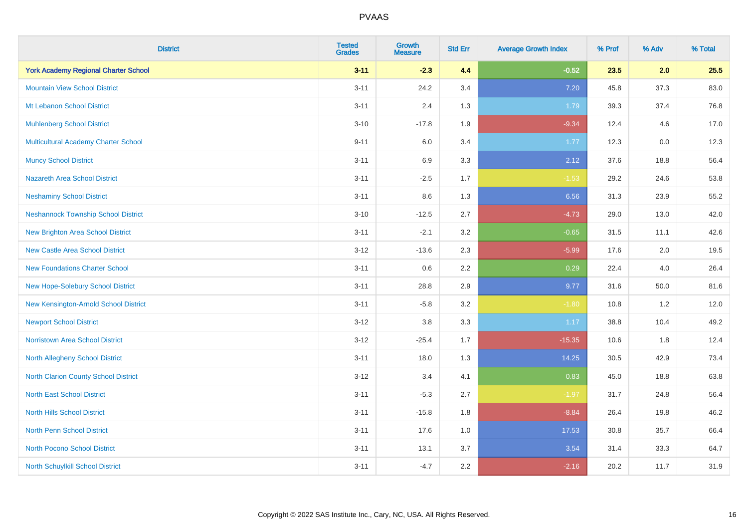| <b>District</b>                             | <b>Tested</b><br><b>Grades</b> | <b>Growth</b><br><b>Measure</b> | <b>Std Err</b> | <b>Average Growth Index</b> | % Prof | % Adv | % Total |
|---------------------------------------------|--------------------------------|---------------------------------|----------------|-----------------------------|--------|-------|---------|
| <b>York Academy Regional Charter School</b> | $3 - 11$                       | $-2.3$                          | 4.4            | $-0.52$                     | 23.5   | 2.0   | 25.5    |
| <b>Mountain View School District</b>        | $3 - 11$                       | 24.2                            | 3.4            | 7.20                        | 45.8   | 37.3  | 83.0    |
| Mt Lebanon School District                  | $3 - 11$                       | 2.4                             | 1.3            | 1.79                        | 39.3   | 37.4  | 76.8    |
| <b>Muhlenberg School District</b>           | $3 - 10$                       | $-17.8$                         | 1.9            | $-9.34$                     | 12.4   | 4.6   | 17.0    |
| <b>Multicultural Academy Charter School</b> | $9 - 11$                       | 6.0                             | 3.4            | 1.77                        | 12.3   | 0.0   | 12.3    |
| <b>Muncy School District</b>                | $3 - 11$                       | 6.9                             | 3.3            | 2.12                        | 37.6   | 18.8  | 56.4    |
| <b>Nazareth Area School District</b>        | $3 - 11$                       | $-2.5$                          | 1.7            | $-1.53$                     | 29.2   | 24.6  | 53.8    |
| <b>Neshaminy School District</b>            | $3 - 11$                       | 8.6                             | 1.3            | 6.56                        | 31.3   | 23.9  | 55.2    |
| <b>Neshannock Township School District</b>  | $3 - 10$                       | $-12.5$                         | 2.7            | $-4.73$                     | 29.0   | 13.0  | 42.0    |
| <b>New Brighton Area School District</b>    | $3 - 11$                       | $-2.1$                          | 3.2            | $-0.65$                     | 31.5   | 11.1  | 42.6    |
| <b>New Castle Area School District</b>      | $3 - 12$                       | $-13.6$                         | 2.3            | $-5.99$                     | 17.6   | 2.0   | 19.5    |
| <b>New Foundations Charter School</b>       | $3 - 11$                       | 0.6                             | 2.2            | 0.29                        | 22.4   | 4.0   | 26.4    |
| New Hope-Solebury School District           | $3 - 11$                       | 28.8                            | 2.9            | 9.77                        | 31.6   | 50.0  | 81.6    |
| New Kensington-Arnold School District       | $3 - 11$                       | $-5.8$                          | 3.2            | $-1.80$                     | 10.8   | 1.2   | 12.0    |
| <b>Newport School District</b>              | $3-12$                         | $3.8\,$                         | 3.3            | 1.17                        | 38.8   | 10.4  | 49.2    |
| <b>Norristown Area School District</b>      | $3 - 12$                       | $-25.4$                         | 1.7            | $-15.35$                    | 10.6   | 1.8   | 12.4    |
| North Allegheny School District             | $3 - 11$                       | 18.0                            | 1.3            | 14.25                       | 30.5   | 42.9  | 73.4    |
| North Clarion County School District        | $3-12$                         | 3.4                             | 4.1            | 0.83                        | 45.0   | 18.8  | 63.8    |
| <b>North East School District</b>           | $3 - 11$                       | $-5.3$                          | 2.7            | $-1.97$                     | 31.7   | 24.8  | 56.4    |
| <b>North Hills School District</b>          | $3 - 11$                       | $-15.8$                         | 1.8            | $-8.84$                     | 26.4   | 19.8  | 46.2    |
| <b>North Penn School District</b>           | $3 - 11$                       | 17.6                            | 1.0            | 17.53                       | 30.8   | 35.7  | 66.4    |
| <b>North Pocono School District</b>         | $3 - 11$                       | 13.1                            | 3.7            | 3.54                        | 31.4   | 33.3  | 64.7    |
| North Schuylkill School District            | $3 - 11$                       | $-4.7$                          | 2.2            | $-2.16$                     | 20.2   | 11.7  | 31.9    |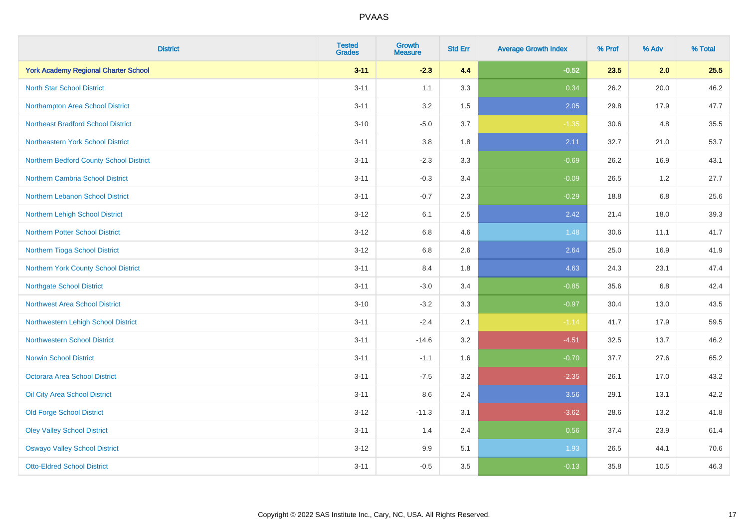| <b>District</b>                             | <b>Tested</b><br><b>Grades</b> | <b>Growth</b><br><b>Measure</b> | <b>Std Err</b> | <b>Average Growth Index</b> | % Prof | % Adv   | % Total |
|---------------------------------------------|--------------------------------|---------------------------------|----------------|-----------------------------|--------|---------|---------|
| <b>York Academy Regional Charter School</b> | $3 - 11$                       | $-2.3$                          | 4.4            | $-0.52$                     | 23.5   | 2.0     | 25.5    |
| <b>North Star School District</b>           | $3 - 11$                       | 1.1                             | 3.3            | 0.34                        | 26.2   | 20.0    | 46.2    |
| Northampton Area School District            | $3 - 11$                       | 3.2                             | 1.5            | 2.05                        | 29.8   | 17.9    | 47.7    |
| <b>Northeast Bradford School District</b>   | $3 - 10$                       | $-5.0$                          | 3.7            | $-1.35$                     | 30.6   | 4.8     | 35.5    |
| Northeastern York School District           | $3 - 11$                       | 3.8                             | 1.8            | 2.11                        | 32.7   | 21.0    | 53.7    |
| Northern Bedford County School District     | $3 - 11$                       | $-2.3$                          | 3.3            | $-0.69$                     | 26.2   | 16.9    | 43.1    |
| Northern Cambria School District            | $3 - 11$                       | $-0.3$                          | 3.4            | $-0.09$                     | 26.5   | 1.2     | 27.7    |
| Northern Lebanon School District            | $3 - 11$                       | $-0.7$                          | 2.3            | $-0.29$                     | 18.8   | 6.8     | 25.6    |
| Northern Lehigh School District             | $3 - 12$                       | 6.1                             | 2.5            | 2.42                        | 21.4   | 18.0    | 39.3    |
| Northern Potter School District             | $3 - 12$                       | 6.8                             | 4.6            | 1.48                        | 30.6   | 11.1    | 41.7    |
| Northern Tioga School District              | $3 - 12$                       | 6.8                             | 2.6            | 2.64                        | 25.0   | 16.9    | 41.9    |
| Northern York County School District        | $3 - 11$                       | 8.4                             | 1.8            | 4.63                        | 24.3   | 23.1    | 47.4    |
| <b>Northgate School District</b>            | $3 - 11$                       | $-3.0$                          | 3.4            | $-0.85$                     | 35.6   | $6.8\,$ | 42.4    |
| <b>Northwest Area School District</b>       | $3 - 10$                       | $-3.2$                          | 3.3            | $-0.97$                     | 30.4   | 13.0    | 43.5    |
| Northwestern Lehigh School District         | $3 - 11$                       | $-2.4$                          | 2.1            | $-1.14$                     | 41.7   | 17.9    | 59.5    |
| <b>Northwestern School District</b>         | $3 - 11$                       | $-14.6$                         | 3.2            | $-4.51$                     | 32.5   | 13.7    | 46.2    |
| <b>Norwin School District</b>               | $3 - 11$                       | $-1.1$                          | 1.6            | $-0.70$                     | 37.7   | 27.6    | 65.2    |
| <b>Octorara Area School District</b>        | $3 - 11$                       | $-7.5$                          | 3.2            | $-2.35$                     | 26.1   | 17.0    | 43.2    |
| Oil City Area School District               | $3 - 11$                       | 8.6                             | 2.4            | 3.56                        | 29.1   | 13.1    | 42.2    |
| <b>Old Forge School District</b>            | $3 - 12$                       | $-11.3$                         | 3.1            | $-3.62$                     | 28.6   | 13.2    | 41.8    |
| <b>Oley Valley School District</b>          | $3 - 11$                       | 1.4                             | 2.4            | 0.56                        | 37.4   | 23.9    | 61.4    |
| <b>Oswayo Valley School District</b>        | $3 - 12$                       | 9.9                             | 5.1            | 1.93                        | 26.5   | 44.1    | 70.6    |
| <b>Otto-Eldred School District</b>          | $3 - 11$                       | $-0.5$                          | 3.5            | $-0.13$                     | 35.8   | 10.5    | 46.3    |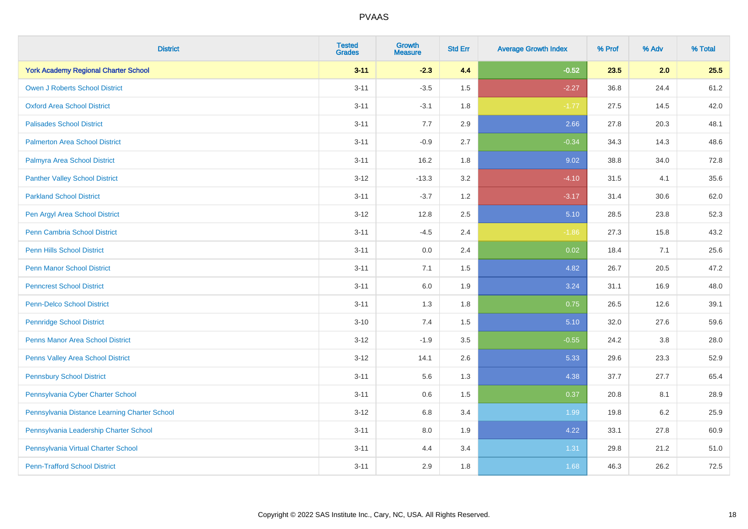| <b>District</b>                               | <b>Tested</b><br><b>Grades</b> | <b>Growth</b><br><b>Measure</b> | <b>Std Err</b> | <b>Average Growth Index</b> | % Prof | % Adv | % Total |
|-----------------------------------------------|--------------------------------|---------------------------------|----------------|-----------------------------|--------|-------|---------|
| <b>York Academy Regional Charter School</b>   | $3 - 11$                       | $-2.3$                          | 4.4            | $-0.52$                     | 23.5   | 2.0   | 25.5    |
| <b>Owen J Roberts School District</b>         | $3 - 11$                       | $-3.5$                          | 1.5            | $-2.27$                     | 36.8   | 24.4  | 61.2    |
| <b>Oxford Area School District</b>            | $3 - 11$                       | $-3.1$                          | 1.8            | $-1.77$                     | 27.5   | 14.5  | 42.0    |
| <b>Palisades School District</b>              | $3 - 11$                       | 7.7                             | 2.9            | 2.66                        | 27.8   | 20.3  | 48.1    |
| <b>Palmerton Area School District</b>         | $3 - 11$                       | $-0.9$                          | 2.7            | $-0.34$                     | 34.3   | 14.3  | 48.6    |
| Palmyra Area School District                  | $3 - 11$                       | 16.2                            | 1.8            | 9.02                        | 38.8   | 34.0  | 72.8    |
| <b>Panther Valley School District</b>         | $3 - 12$                       | $-13.3$                         | 3.2            | $-4.10$                     | 31.5   | 4.1   | 35.6    |
| <b>Parkland School District</b>               | $3 - 11$                       | $-3.7$                          | 1.2            | $-3.17$                     | 31.4   | 30.6  | 62.0    |
| Pen Argyl Area School District                | $3 - 12$                       | 12.8                            | 2.5            | 5.10                        | 28.5   | 23.8  | 52.3    |
| Penn Cambria School District                  | $3 - 11$                       | $-4.5$                          | 2.4            | $-1.86$                     | 27.3   | 15.8  | 43.2    |
| <b>Penn Hills School District</b>             | $3 - 11$                       | 0.0                             | 2.4            | 0.02                        | 18.4   | 7.1   | 25.6    |
| <b>Penn Manor School District</b>             | $3 - 11$                       | 7.1                             | 1.5            | 4.82                        | 26.7   | 20.5  | 47.2    |
| <b>Penncrest School District</b>              | $3 - 11$                       | 6.0                             | 1.9            | 3.24                        | 31.1   | 16.9  | 48.0    |
| <b>Penn-Delco School District</b>             | $3 - 11$                       | 1.3                             | 1.8            | 0.75                        | 26.5   | 12.6  | 39.1    |
| <b>Pennridge School District</b>              | $3 - 10$                       | 7.4                             | 1.5            | 5.10                        | 32.0   | 27.6  | 59.6    |
| <b>Penns Manor Area School District</b>       | $3 - 12$                       | $-1.9$                          | 3.5            | $-0.55$                     | 24.2   | 3.8   | 28.0    |
| <b>Penns Valley Area School District</b>      | $3-12$                         | 14.1                            | 2.6            | 5.33                        | 29.6   | 23.3  | 52.9    |
| <b>Pennsbury School District</b>              | $3 - 11$                       | 5.6                             | 1.3            | 4.38                        | 37.7   | 27.7  | 65.4    |
| Pennsylvania Cyber Charter School             | $3 - 11$                       | 0.6                             | 1.5            | 0.37                        | 20.8   | 8.1   | 28.9    |
| Pennsylvania Distance Learning Charter School | $3 - 12$                       | 6.8                             | 3.4            | 1.99                        | 19.8   | 6.2   | 25.9    |
| Pennsylvania Leadership Charter School        | $3 - 11$                       | 8.0                             | 1.9            | 4.22                        | 33.1   | 27.8  | 60.9    |
| Pennsylvania Virtual Charter School           | $3 - 11$                       | 4.4                             | 3.4            | 1.31                        | 29.8   | 21.2  | 51.0    |
| <b>Penn-Trafford School District</b>          | $3 - 11$                       | 2.9                             | 1.8            | 1.68                        | 46.3   | 26.2  | 72.5    |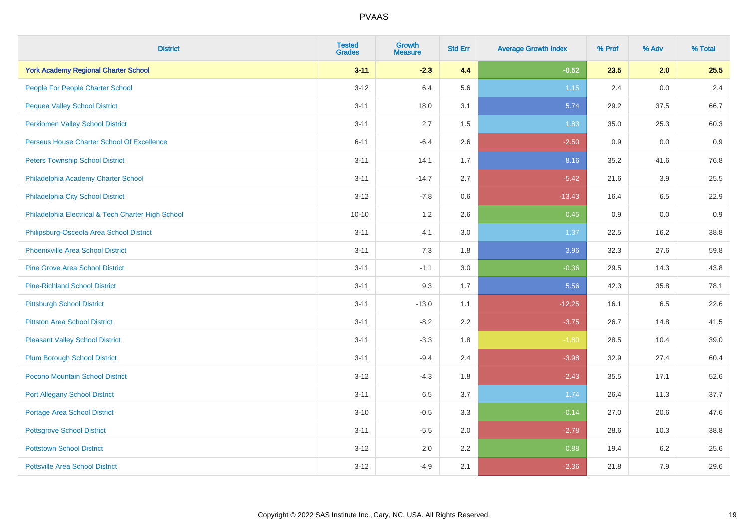| <b>District</b>                                    | <b>Tested</b><br><b>Grades</b> | <b>Growth</b><br><b>Measure</b> | <b>Std Err</b> | <b>Average Growth Index</b> | % Prof | % Adv | % Total |
|----------------------------------------------------|--------------------------------|---------------------------------|----------------|-----------------------------|--------|-------|---------|
| <b>York Academy Regional Charter School</b>        | $3 - 11$                       | $-2.3$                          | 4.4            | $-0.52$                     | 23.5   | 2.0   | 25.5    |
| People For People Charter School                   | $3 - 12$                       | 6.4                             | 5.6            | 1.15                        | 2.4    | 0.0   | 2.4     |
| <b>Pequea Valley School District</b>               | $3 - 11$                       | 18.0                            | 3.1            | 5.74                        | 29.2   | 37.5  | 66.7    |
| <b>Perkiomen Valley School District</b>            | $3 - 11$                       | 2.7                             | 1.5            | 1.83                        | 35.0   | 25.3  | 60.3    |
| Perseus House Charter School Of Excellence         | $6 - 11$                       | $-6.4$                          | 2.6            | $-2.50$                     | 0.9    | 0.0   | 0.9     |
| <b>Peters Township School District</b>             | $3 - 11$                       | 14.1                            | 1.7            | 8.16                        | 35.2   | 41.6  | 76.8    |
| Philadelphia Academy Charter School                | $3 - 11$                       | $-14.7$                         | 2.7            | $-5.42$                     | 21.6   | 3.9   | 25.5    |
| Philadelphia City School District                  | $3 - 12$                       | $-7.8$                          | 0.6            | $-13.43$                    | 16.4   | 6.5   | 22.9    |
| Philadelphia Electrical & Tech Charter High School | $10 - 10$                      | 1.2                             | 2.6            | 0.45                        | 0.9    | 0.0   | 0.9     |
| Philipsburg-Osceola Area School District           | $3 - 11$                       | 4.1                             | 3.0            | 1.37                        | 22.5   | 16.2  | 38.8    |
| <b>Phoenixville Area School District</b>           | $3 - 11$                       | 7.3                             | 1.8            | 3.96                        | 32.3   | 27.6  | 59.8    |
| <b>Pine Grove Area School District</b>             | $3 - 11$                       | $-1.1$                          | 3.0            | $-0.36$                     | 29.5   | 14.3  | 43.8    |
| <b>Pine-Richland School District</b>               | $3 - 11$                       | 9.3                             | 1.7            | 5.56                        | 42.3   | 35.8  | 78.1    |
| <b>Pittsburgh School District</b>                  | $3 - 11$                       | $-13.0$                         | 1.1            | $-12.25$                    | 16.1   | 6.5   | 22.6    |
| <b>Pittston Area School District</b>               | $3 - 11$                       | $-8.2$                          | 2.2            | $-3.75$                     | 26.7   | 14.8  | 41.5    |
| <b>Pleasant Valley School District</b>             | $3 - 11$                       | $-3.3$                          | 1.8            | $-1.80$                     | 28.5   | 10.4  | 39.0    |
| <b>Plum Borough School District</b>                | $3 - 11$                       | $-9.4$                          | 2.4            | $-3.98$                     | 32.9   | 27.4  | 60.4    |
| Pocono Mountain School District                    | $3 - 12$                       | $-4.3$                          | 1.8            | $-2.43$                     | 35.5   | 17.1  | 52.6    |
| <b>Port Allegany School District</b>               | $3 - 11$                       | 6.5                             | 3.7            | 1.74                        | 26.4   | 11.3  | 37.7    |
| <b>Portage Area School District</b>                | $3 - 10$                       | $-0.5$                          | 3.3            | $-0.14$                     | 27.0   | 20.6  | 47.6    |
| <b>Pottsgrove School District</b>                  | $3 - 11$                       | $-5.5$                          | 2.0            | $-2.78$                     | 28.6   | 10.3  | 38.8    |
| <b>Pottstown School District</b>                   | $3 - 12$                       | 2.0                             | 2.2            | 0.88                        | 19.4   | 6.2   | 25.6    |
| <b>Pottsville Area School District</b>             | $3 - 12$                       | $-4.9$                          | 2.1            | $-2.36$                     | 21.8   | 7.9   | 29.6    |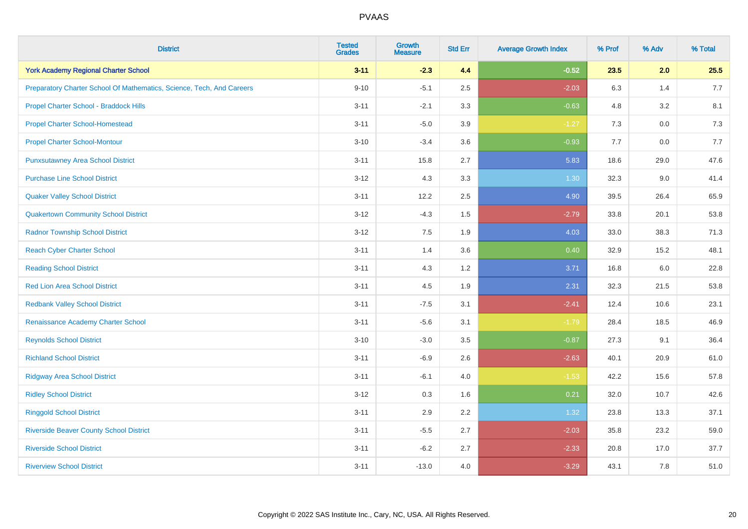| <b>District</b>                                                       | <b>Tested</b><br><b>Grades</b> | <b>Growth</b><br><b>Measure</b> | <b>Std Err</b> | <b>Average Growth Index</b> | % Prof | % Adv   | % Total |
|-----------------------------------------------------------------------|--------------------------------|---------------------------------|----------------|-----------------------------|--------|---------|---------|
| <b>York Academy Regional Charter School</b>                           | $3 - 11$                       | $-2.3$                          | 4.4            | $-0.52$                     | 23.5   | 2.0     | 25.5    |
| Preparatory Charter School Of Mathematics, Science, Tech, And Careers | $9 - 10$                       | $-5.1$                          | 2.5            | $-2.03$                     | 6.3    | 1.4     | 7.7     |
| Propel Charter School - Braddock Hills                                | $3 - 11$                       | $-2.1$                          | 3.3            | $-0.63$                     | 4.8    | 3.2     | 8.1     |
| <b>Propel Charter School-Homestead</b>                                | $3 - 11$                       | $-5.0$                          | 3.9            | $-1.27$                     | 7.3    | $0.0\,$ | 7.3     |
| <b>Propel Charter School-Montour</b>                                  | $3 - 10$                       | $-3.4$                          | 3.6            | $-0.93$                     | 7.7    | 0.0     | 7.7     |
| <b>Punxsutawney Area School District</b>                              | $3 - 11$                       | 15.8                            | 2.7            | 5.83                        | 18.6   | 29.0    | 47.6    |
| <b>Purchase Line School District</b>                                  | $3 - 12$                       | 4.3                             | 3.3            | $1.30$                      | 32.3   | 9.0     | 41.4    |
| <b>Quaker Valley School District</b>                                  | $3 - 11$                       | 12.2                            | 2.5            | 4.90                        | 39.5   | 26.4    | 65.9    |
| <b>Quakertown Community School District</b>                           | $3 - 12$                       | $-4.3$                          | 1.5            | $-2.79$                     | 33.8   | 20.1    | 53.8    |
| <b>Radnor Township School District</b>                                | $3 - 12$                       | 7.5                             | 1.9            | 4.03                        | 33.0   | 38.3    | 71.3    |
| <b>Reach Cyber Charter School</b>                                     | $3 - 11$                       | 1.4                             | 3.6            | 0.40                        | 32.9   | 15.2    | 48.1    |
| <b>Reading School District</b>                                        | $3 - 11$                       | 4.3                             | 1.2            | 3.71                        | 16.8   | 6.0     | 22.8    |
| <b>Red Lion Area School District</b>                                  | $3 - 11$                       | 4.5                             | 1.9            | 2.31                        | 32.3   | 21.5    | 53.8    |
| <b>Redbank Valley School District</b>                                 | $3 - 11$                       | $-7.5$                          | 3.1            | $-2.41$                     | 12.4   | 10.6    | 23.1    |
| Renaissance Academy Charter School                                    | $3 - 11$                       | $-5.6$                          | 3.1            | $-1.79$                     | 28.4   | 18.5    | 46.9    |
| <b>Reynolds School District</b>                                       | $3 - 10$                       | $-3.0$                          | 3.5            | $-0.87$                     | 27.3   | 9.1     | 36.4    |
| <b>Richland School District</b>                                       | $3 - 11$                       | $-6.9$                          | 2.6            | $-2.63$                     | 40.1   | 20.9    | 61.0    |
| <b>Ridgway Area School District</b>                                   | $3 - 11$                       | $-6.1$                          | 4.0            | $-1.53$                     | 42.2   | 15.6    | 57.8    |
| <b>Ridley School District</b>                                         | $3 - 12$                       | 0.3                             | 1.6            | 0.21                        | 32.0   | 10.7    | 42.6    |
| <b>Ringgold School District</b>                                       | $3 - 11$                       | 2.9                             | 2.2            | 1.32                        | 23.8   | 13.3    | 37.1    |
| <b>Riverside Beaver County School District</b>                        | $3 - 11$                       | $-5.5$                          | 2.7            | $-2.03$                     | 35.8   | 23.2    | 59.0    |
| <b>Riverside School District</b>                                      | $3 - 11$                       | $-6.2$                          | 2.7            | $-2.33$                     | 20.8   | 17.0    | 37.7    |
| <b>Riverview School District</b>                                      | $3 - 11$                       | $-13.0$                         | 4.0            | $-3.29$                     | 43.1   | 7.8     | 51.0    |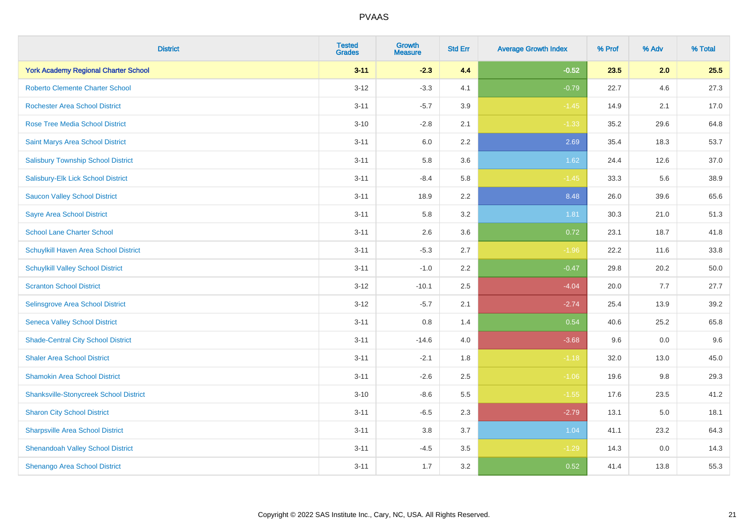| <b>District</b>                               | <b>Tested</b><br><b>Grades</b> | <b>Growth</b><br><b>Measure</b> | <b>Std Err</b> | <b>Average Growth Index</b> | % Prof | % Adv | % Total |
|-----------------------------------------------|--------------------------------|---------------------------------|----------------|-----------------------------|--------|-------|---------|
| <b>York Academy Regional Charter School</b>   | $3 - 11$                       | $-2.3$                          | 4.4            | $-0.52$                     | 23.5   | 2.0   | 25.5    |
| <b>Roberto Clemente Charter School</b>        | $3 - 12$                       | $-3.3$                          | 4.1            | $-0.79$                     | 22.7   | 4.6   | 27.3    |
| <b>Rochester Area School District</b>         | $3 - 11$                       | $-5.7$                          | 3.9            | $-1.45$                     | 14.9   | 2.1   | 17.0    |
| <b>Rose Tree Media School District</b>        | $3 - 10$                       | $-2.8$                          | 2.1            | $-1.33$                     | 35.2   | 29.6  | 64.8    |
| <b>Saint Marys Area School District</b>       | $3 - 11$                       | 6.0                             | 2.2            | 2.69                        | 35.4   | 18.3  | 53.7    |
| <b>Salisbury Township School District</b>     | $3 - 11$                       | 5.8                             | 3.6            | 1.62                        | 24.4   | 12.6  | 37.0    |
| Salisbury-Elk Lick School District            | $3 - 11$                       | $-8.4$                          | 5.8            | $-1.45$                     | 33.3   | 5.6   | 38.9    |
| <b>Saucon Valley School District</b>          | $3 - 11$                       | 18.9                            | 2.2            | 8.48                        | 26.0   | 39.6  | 65.6    |
| <b>Sayre Area School District</b>             | $3 - 11$                       | 5.8                             | 3.2            | 1.81                        | 30.3   | 21.0  | 51.3    |
| <b>School Lane Charter School</b>             | $3 - 11$                       | 2.6                             | 3.6            | 0.72                        | 23.1   | 18.7  | 41.8    |
| Schuylkill Haven Area School District         | $3 - 11$                       | $-5.3$                          | 2.7            | $-1.96$                     | 22.2   | 11.6  | 33.8    |
| <b>Schuylkill Valley School District</b>      | $3 - 11$                       | $-1.0$                          | 2.2            | $-0.47$                     | 29.8   | 20.2  | 50.0    |
| <b>Scranton School District</b>               | $3 - 12$                       | $-10.1$                         | 2.5            | $-4.04$                     | 20.0   | 7.7   | 27.7    |
| Selinsgrove Area School District              | $3 - 12$                       | $-5.7$                          | 2.1            | $-2.74$                     | 25.4   | 13.9  | 39.2    |
| <b>Seneca Valley School District</b>          | $3 - 11$                       | 0.8                             | 1.4            | 0.54                        | 40.6   | 25.2  | 65.8    |
| <b>Shade-Central City School District</b>     | $3 - 11$                       | $-14.6$                         | 4.0            | $-3.68$                     | 9.6    | 0.0   | 9.6     |
| <b>Shaler Area School District</b>            | $3 - 11$                       | $-2.1$                          | 1.8            | $-1.18$                     | 32.0   | 13.0  | 45.0    |
| <b>Shamokin Area School District</b>          | $3 - 11$                       | $-2.6$                          | 2.5            | $-1.06$                     | 19.6   | 9.8   | 29.3    |
| <b>Shanksville-Stonycreek School District</b> | $3 - 10$                       | $-8.6$                          | 5.5            | $-1.55$                     | 17.6   | 23.5  | 41.2    |
| <b>Sharon City School District</b>            | $3 - 11$                       | $-6.5$                          | 2.3            | $-2.79$                     | 13.1   | 5.0   | 18.1    |
| <b>Sharpsville Area School District</b>       | $3 - 11$                       | 3.8                             | 3.7            | 1.04                        | 41.1   | 23.2  | 64.3    |
| <b>Shenandoah Valley School District</b>      | $3 - 11$                       | $-4.5$                          | 3.5            | $-1.29$                     | 14.3   | 0.0   | 14.3    |
| Shenango Area School District                 | $3 - 11$                       | 1.7                             | 3.2            | 0.52                        | 41.4   | 13.8  | 55.3    |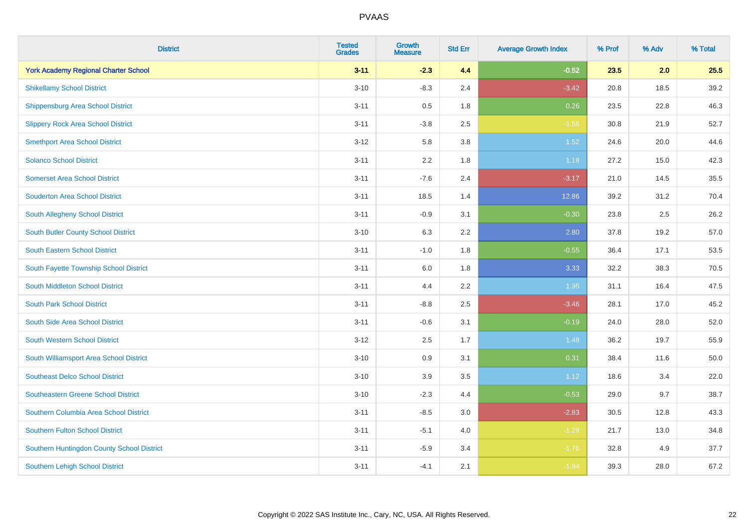| <b>District</b>                             | <b>Tested</b><br><b>Grades</b> | <b>Growth</b><br><b>Measure</b> | <b>Std Err</b> | <b>Average Growth Index</b> | % Prof | % Adv | % Total |
|---------------------------------------------|--------------------------------|---------------------------------|----------------|-----------------------------|--------|-------|---------|
| <b>York Academy Regional Charter School</b> | $3 - 11$                       | $-2.3$                          | 4.4            | $-0.52$                     | 23.5   | 2.0   | 25.5    |
| <b>Shikellamy School District</b>           | $3 - 10$                       | $-8.3$                          | 2.4            | $-3.42$                     | 20.8   | 18.5  | 39.2    |
| <b>Shippensburg Area School District</b>    | $3 - 11$                       | 0.5                             | 1.8            | 0.26                        | 23.5   | 22.8  | 46.3    |
| <b>Slippery Rock Area School District</b>   | $3 - 11$                       | $-3.8$                          | 2.5            | $-1.56$                     | 30.8   | 21.9  | 52.7    |
| <b>Smethport Area School District</b>       | $3 - 12$                       | 5.8                             | 3.8            | 1.52                        | 24.6   | 20.0  | 44.6    |
| <b>Solanco School District</b>              | $3 - 11$                       | 2.2                             | 1.8            | 1.18                        | 27.2   | 15.0  | 42.3    |
| <b>Somerset Area School District</b>        | $3 - 11$                       | $-7.6$                          | 2.4            | $-3.17$                     | 21.0   | 14.5  | 35.5    |
| <b>Souderton Area School District</b>       | $3 - 11$                       | 18.5                            | 1.4            | 12.86                       | 39.2   | 31.2  | 70.4    |
| <b>South Allegheny School District</b>      | $3 - 11$                       | $-0.9$                          | 3.1            | $-0.30$                     | 23.8   | 2.5   | 26.2    |
| <b>South Butler County School District</b>  | $3 - 10$                       | 6.3                             | 2.2            | 2.80                        | 37.8   | 19.2  | 57.0    |
| South Eastern School District               | $3 - 11$                       | $-1.0$                          | 1.8            | $-0.55$                     | 36.4   | 17.1  | 53.5    |
| South Fayette Township School District      | $3 - 11$                       | 6.0                             | 1.8            | 3.33                        | 32.2   | 38.3  | 70.5    |
| South Middleton School District             | $3 - 11$                       | 4.4                             | 2.2            | 1.95                        | 31.1   | 16.4  | 47.5    |
| <b>South Park School District</b>           | $3 - 11$                       | $-8.8$                          | 2.5            | $-3.46$                     | 28.1   | 17.0  | 45.2    |
| South Side Area School District             | $3 - 11$                       | $-0.6$                          | 3.1            | $-0.19$                     | 24.0   | 28.0  | 52.0    |
| South Western School District               | $3 - 12$                       | 2.5                             | 1.7            | 1.48                        | 36.2   | 19.7  | 55.9    |
| South Williamsport Area School District     | $3 - 10$                       | $0.9\,$                         | 3.1            | 0.31                        | 38.4   | 11.6  | 50.0    |
| <b>Southeast Delco School District</b>      | $3 - 10$                       | 3.9                             | 3.5            | 1.12                        | 18.6   | 3.4   | 22.0    |
| <b>Southeastern Greene School District</b>  | $3 - 10$                       | $-2.3$                          | 4.4            | $-0.53$                     | 29.0   | 9.7   | 38.7    |
| Southern Columbia Area School District      | $3 - 11$                       | $-8.5$                          | 3.0            | $-2.83$                     | 30.5   | 12.8  | 43.3    |
| <b>Southern Fulton School District</b>      | $3 - 11$                       | $-5.1$                          | 4.0            | $-1.29$                     | 21.7   | 13.0  | 34.8    |
| Southern Huntingdon County School District  | $3 - 11$                       | $-5.9$                          | 3.4            | $-1.76$                     | 32.8   | 4.9   | 37.7    |
| <b>Southern Lehigh School District</b>      | $3 - 11$                       | $-4.1$                          | 2.1            | $-1.94$                     | 39.3   | 28.0  | 67.2    |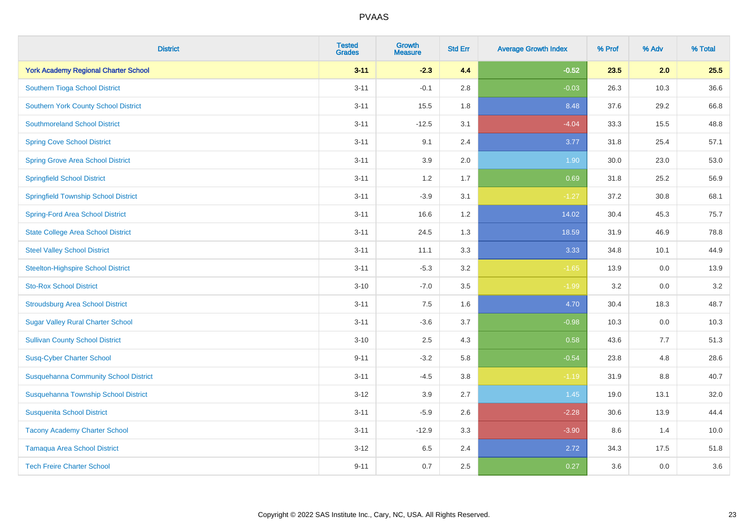| <b>District</b>                              | <b>Tested</b><br><b>Grades</b> | <b>Growth</b><br><b>Measure</b> | <b>Std Err</b> | <b>Average Growth Index</b> | % Prof | % Adv | % Total |
|----------------------------------------------|--------------------------------|---------------------------------|----------------|-----------------------------|--------|-------|---------|
| <b>York Academy Regional Charter School</b>  | $3 - 11$                       | $-2.3$                          | 4.4            | $-0.52$                     | 23.5   | 2.0   | 25.5    |
| Southern Tioga School District               | $3 - 11$                       | $-0.1$                          | 2.8            | $-0.03$                     | 26.3   | 10.3  | 36.6    |
| <b>Southern York County School District</b>  | $3 - 11$                       | 15.5                            | 1.8            | 8.48                        | 37.6   | 29.2  | 66.8    |
| <b>Southmoreland School District</b>         | $3 - 11$                       | $-12.5$                         | 3.1            | $-4.04$                     | 33.3   | 15.5  | 48.8    |
| <b>Spring Cove School District</b>           | $3 - 11$                       | 9.1                             | 2.4            | 3.77                        | 31.8   | 25.4  | 57.1    |
| <b>Spring Grove Area School District</b>     | $3 - 11$                       | 3.9                             | 2.0            | 1.90                        | 30.0   | 23.0  | 53.0    |
| <b>Springfield School District</b>           | $3 - 11$                       | 1.2                             | 1.7            | 0.69                        | 31.8   | 25.2  | 56.9    |
| <b>Springfield Township School District</b>  | $3 - 11$                       | $-3.9$                          | 3.1            | $-1.27$                     | 37.2   | 30.8  | 68.1    |
| <b>Spring-Ford Area School District</b>      | $3 - 11$                       | 16.6                            | 1.2            | 14.02                       | 30.4   | 45.3  | 75.7    |
| <b>State College Area School District</b>    | $3 - 11$                       | 24.5                            | 1.3            | 18.59                       | 31.9   | 46.9  | 78.8    |
| <b>Steel Valley School District</b>          | $3 - 11$                       | 11.1                            | 3.3            | 3.33                        | 34.8   | 10.1  | 44.9    |
| <b>Steelton-Highspire School District</b>    | $3 - 11$                       | $-5.3$                          | 3.2            | $-1.65$                     | 13.9   | 0.0   | 13.9    |
| <b>Sto-Rox School District</b>               | $3 - 10$                       | $-7.0$                          | 3.5            | $-1.99$                     | 3.2    | 0.0   | 3.2     |
| <b>Stroudsburg Area School District</b>      | $3 - 11$                       | $7.5\,$                         | 1.6            | 4.70                        | 30.4   | 18.3  | 48.7    |
| <b>Sugar Valley Rural Charter School</b>     | $3 - 11$                       | $-3.6$                          | 3.7            | $-0.98$                     | 10.3   | 0.0   | 10.3    |
| <b>Sullivan County School District</b>       | $3 - 10$                       | 2.5                             | 4.3            | 0.58                        | 43.6   | 7.7   | 51.3    |
| <b>Susq-Cyber Charter School</b>             | $9 - 11$                       | $-3.2$                          | 5.8            | $-0.54$                     | 23.8   | 4.8   | 28.6    |
| <b>Susquehanna Community School District</b> | $3 - 11$                       | $-4.5$                          | 3.8            | $-1.19$                     | 31.9   | 8.8   | 40.7    |
| Susquehanna Township School District         | $3 - 12$                       | 3.9                             | 2.7            | $1.45$                      | 19.0   | 13.1  | 32.0    |
| <b>Susquenita School District</b>            | $3 - 11$                       | $-5.9$                          | 2.6            | $-2.28$                     | 30.6   | 13.9  | 44.4    |
| <b>Tacony Academy Charter School</b>         | $3 - 11$                       | $-12.9$                         | 3.3            | $-3.90$                     | 8.6    | 1.4   | 10.0    |
| <b>Tamaqua Area School District</b>          | $3 - 12$                       | 6.5                             | 2.4            | 2.72                        | 34.3   | 17.5  | 51.8    |
| <b>Tech Freire Charter School</b>            | $9 - 11$                       | 0.7                             | 2.5            | 0.27                        | 3.6    | 0.0   | 3.6     |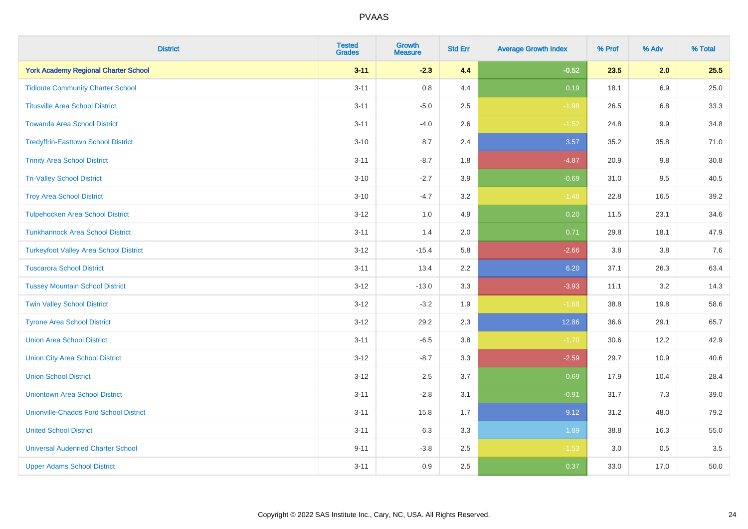| <b>District</b>                               | <b>Tested</b><br><b>Grades</b> | Growth<br><b>Measure</b> | <b>Std Err</b> | <b>Average Growth Index</b> | % Prof | % Adv   | % Total |
|-----------------------------------------------|--------------------------------|--------------------------|----------------|-----------------------------|--------|---------|---------|
| <b>York Academy Regional Charter School</b>   | $3 - 11$                       | $-2.3$                   | 4.4            | $-0.52$                     | 23.5   | 2.0     | 25.5    |
| <b>Tidioute Community Charter School</b>      | $3 - 11$                       | 0.8                      | 4.4            | 0.19                        | 18.1   | 6.9     | 25.0    |
| <b>Titusville Area School District</b>        | $3 - 11$                       | $-5.0$                   | 2.5            | $-1.98$                     | 26.5   | 6.8     | 33.3    |
| <b>Towanda Area School District</b>           | $3 - 11$                       | $-4.0$                   | 2.6            | $-1.52$                     | 24.8   | 9.9     | 34.8    |
| <b>Tredyffrin-Easttown School District</b>    | $3 - 10$                       | 8.7                      | 2.4            | 3.57                        | 35.2   | 35.8    | 71.0    |
| <b>Trinity Area School District</b>           | $3 - 11$                       | $-8.7$                   | 1.8            | $-4.87$                     | 20.9   | $9.8\,$ | 30.8    |
| <b>Tri-Valley School District</b>             | $3 - 10$                       | $-2.7$                   | 3.9            | $-0.69$                     | 31.0   | 9.5     | 40.5    |
| <b>Troy Area School District</b>              | $3 - 10$                       | $-4.7$                   | 3.2            | $-1.46$                     | 22.8   | 16.5    | 39.2    |
| <b>Tulpehocken Area School District</b>       | $3-12$                         | 1.0                      | 4.9            | 0.20                        | 11.5   | 23.1    | 34.6    |
| <b>Tunkhannock Area School District</b>       | $3 - 11$                       | 1.4                      | 2.0            | 0.71                        | 29.8   | 18.1    | 47.9    |
| <b>Turkeyfoot Valley Area School District</b> | $3 - 12$                       | $-15.4$                  | 5.8            | $-2.66$                     | 3.8    | 3.8     | 7.6     |
| <b>Tuscarora School District</b>              | $3 - 11$                       | 13.4                     | 2.2            | 6.20                        | 37.1   | 26.3    | 63.4    |
| <b>Tussey Mountain School District</b>        | $3 - 12$                       | $-13.0$                  | 3.3            | $-3.93$                     | 11.1   | $3.2\,$ | 14.3    |
| <b>Twin Valley School District</b>            | $3 - 12$                       | $-3.2$                   | 1.9            | $-1.68$                     | 38.8   | 19.8    | 58.6    |
| <b>Tyrone Area School District</b>            | $3 - 12$                       | 29.2                     | 2.3            | 12.86                       | 36.6   | 29.1    | 65.7    |
| <b>Union Area School District</b>             | $3 - 11$                       | $-6.5$                   | $3.8\,$        | $-1.70$                     | 30.6   | 12.2    | 42.9    |
| <b>Union City Area School District</b>        | $3 - 12$                       | $-8.7$                   | 3.3            | $-2.59$                     | 29.7   | 10.9    | 40.6    |
| <b>Union School District</b>                  | $3-12$                         | 2.5                      | 3.7            | 0.69                        | 17.9   | 10.4    | 28.4    |
| <b>Uniontown Area School District</b>         | $3 - 11$                       | $-2.8$                   | 3.1            | $-0.91$                     | 31.7   | 7.3     | 39.0    |
| <b>Unionville-Chadds Ford School District</b> | $3 - 11$                       | 15.8                     | 1.7            | 9.12                        | 31.2   | 48.0    | 79.2    |
| <b>United School District</b>                 | $3 - 11$                       | 6.3                      | 3.3            | 1.89                        | 38.8   | 16.3    | 55.0    |
| <b>Universal Audenried Charter School</b>     | $9 - 11$                       | $-3.8$                   | 2.5            | $-1.53$                     | 3.0    | 0.5     | 3.5     |
| <b>Upper Adams School District</b>            | $3 - 11$                       | 0.9                      | 2.5            | 0.37                        | 33.0   | 17.0    | 50.0    |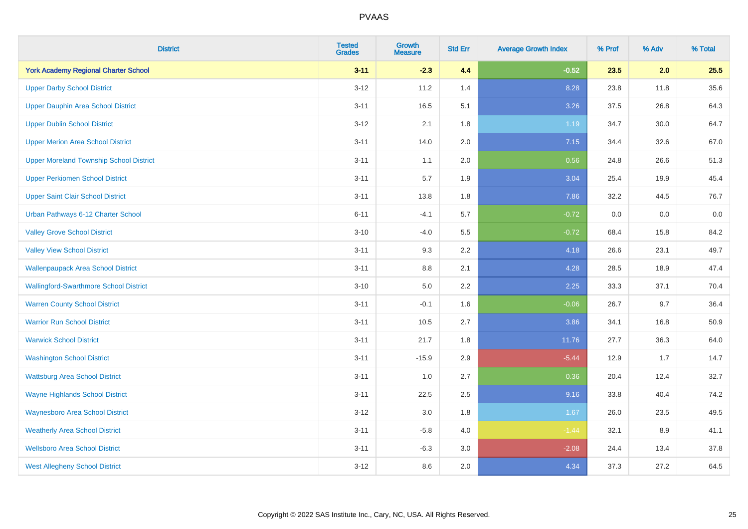| <b>District</b>                                | <b>Tested</b><br><b>Grades</b> | <b>Growth</b><br><b>Measure</b> | <b>Std Err</b> | <b>Average Growth Index</b> | % Prof | % Adv | % Total |
|------------------------------------------------|--------------------------------|---------------------------------|----------------|-----------------------------|--------|-------|---------|
| <b>York Academy Regional Charter School</b>    | $3 - 11$                       | $-2.3$                          | 4.4            | $-0.52$                     | 23.5   | 2.0   | 25.5    |
| <b>Upper Darby School District</b>             | $3 - 12$                       | 11.2                            | 1.4            | 8.28                        | 23.8   | 11.8  | 35.6    |
| <b>Upper Dauphin Area School District</b>      | $3 - 11$                       | 16.5                            | 5.1            | 3.26                        | 37.5   | 26.8  | 64.3    |
| <b>Upper Dublin School District</b>            | $3 - 12$                       | 2.1                             | 1.8            | 1.19                        | 34.7   | 30.0  | 64.7    |
| <b>Upper Merion Area School District</b>       | $3 - 11$                       | 14.0                            | 2.0            | 7.15                        | 34.4   | 32.6  | 67.0    |
| <b>Upper Moreland Township School District</b> | $3 - 11$                       | 1.1                             | 2.0            | 0.56                        | 24.8   | 26.6  | 51.3    |
| <b>Upper Perkiomen School District</b>         | $3 - 11$                       | 5.7                             | 1.9            | 3.04                        | 25.4   | 19.9  | 45.4    |
| <b>Upper Saint Clair School District</b>       | $3 - 11$                       | 13.8                            | 1.8            | 7.86                        | 32.2   | 44.5  | 76.7    |
| Urban Pathways 6-12 Charter School             | $6 - 11$                       | $-4.1$                          | 5.7            | $-0.72$                     | 0.0    | 0.0   | $0.0\,$ |
| <b>Valley Grove School District</b>            | $3 - 10$                       | $-4.0$                          | 5.5            | $-0.72$                     | 68.4   | 15.8  | 84.2    |
| <b>Valley View School District</b>             | $3 - 11$                       | 9.3                             | 2.2            | 4.18                        | 26.6   | 23.1  | 49.7    |
| <b>Wallenpaupack Area School District</b>      | $3 - 11$                       | 8.8                             | 2.1            | 4.28                        | 28.5   | 18.9  | 47.4    |
| <b>Wallingford-Swarthmore School District</b>  | $3 - 10$                       | $5.0\,$                         | 2.2            | 2.25                        | 33.3   | 37.1  | 70.4    |
| <b>Warren County School District</b>           | $3 - 11$                       | $-0.1$                          | 1.6            | $-0.06$                     | 26.7   | 9.7   | 36.4    |
| <b>Warrior Run School District</b>             | $3 - 11$                       | 10.5                            | 2.7            | 3.86                        | 34.1   | 16.8  | 50.9    |
| <b>Warwick School District</b>                 | $3 - 11$                       | 21.7                            | 1.8            | 11.76                       | 27.7   | 36.3  | 64.0    |
| <b>Washington School District</b>              | $3 - 11$                       | $-15.9$                         | 2.9            | $-5.44$                     | 12.9   | 1.7   | 14.7    |
| <b>Wattsburg Area School District</b>          | $3 - 11$                       | 1.0                             | 2.7            | 0.36                        | 20.4   | 12.4  | 32.7    |
| <b>Wayne Highlands School District</b>         | $3 - 11$                       | 22.5                            | 2.5            | 9.16                        | 33.8   | 40.4  | 74.2    |
| <b>Waynesboro Area School District</b>         | $3 - 12$                       | 3.0                             | 1.8            | 1.67                        | 26.0   | 23.5  | 49.5    |
| <b>Weatherly Area School District</b>          | $3 - 11$                       | $-5.8$                          | 4.0            | $-1.44$                     | 32.1   | 8.9   | 41.1    |
| <b>Wellsboro Area School District</b>          | $3 - 11$                       | $-6.3$                          | 3.0            | $-2.08$                     | 24.4   | 13.4  | 37.8    |
| <b>West Allegheny School District</b>          | $3 - 12$                       | 8.6                             | 2.0            | 4.34                        | 37.3   | 27.2  | 64.5    |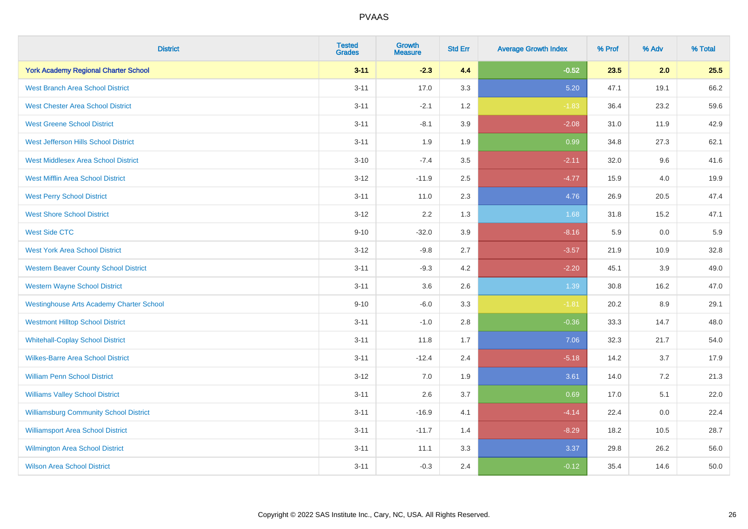| <b>District</b>                                 | <b>Tested</b><br><b>Grades</b> | <b>Growth</b><br><b>Measure</b> | <b>Std Err</b> | <b>Average Growth Index</b> | % Prof | % Adv | % Total |
|-------------------------------------------------|--------------------------------|---------------------------------|----------------|-----------------------------|--------|-------|---------|
| <b>York Academy Regional Charter School</b>     | $3 - 11$                       | $-2.3$                          | 4.4            | $-0.52$                     | 23.5   | 2.0   | 25.5    |
| <b>West Branch Area School District</b>         | $3 - 11$                       | 17.0                            | 3.3            | 5.20                        | 47.1   | 19.1  | 66.2    |
| <b>West Chester Area School District</b>        | $3 - 11$                       | $-2.1$                          | 1.2            | $-1.83$                     | 36.4   | 23.2  | 59.6    |
| <b>West Greene School District</b>              | $3 - 11$                       | $-8.1$                          | 3.9            | $-2.08$                     | 31.0   | 11.9  | 42.9    |
| West Jefferson Hills School District            | $3 - 11$                       | 1.9                             | 1.9            | 0.99                        | 34.8   | 27.3  | 62.1    |
| <b>West Middlesex Area School District</b>      | $3 - 10$                       | $-7.4$                          | 3.5            | $-2.11$                     | 32.0   | 9.6   | 41.6    |
| <b>West Mifflin Area School District</b>        | $3 - 12$                       | $-11.9$                         | 2.5            | $-4.77$                     | 15.9   | 4.0   | 19.9    |
| <b>West Perry School District</b>               | $3 - 11$                       | 11.0                            | 2.3            | 4.76                        | 26.9   | 20.5  | 47.4    |
| <b>West Shore School District</b>               | $3 - 12$                       | 2.2                             | 1.3            | 1.68                        | 31.8   | 15.2  | 47.1    |
| <b>West Side CTC</b>                            | $9 - 10$                       | $-32.0$                         | 3.9            | $-8.16$                     | 5.9    | 0.0   | 5.9     |
| <b>West York Area School District</b>           | $3 - 12$                       | $-9.8$                          | 2.7            | $-3.57$                     | 21.9   | 10.9  | 32.8    |
| <b>Western Beaver County School District</b>    | $3 - 11$                       | $-9.3$                          | 4.2            | $-2.20$                     | 45.1   | 3.9   | 49.0    |
| <b>Western Wayne School District</b>            | $3 - 11$                       | 3.6                             | 2.6            | 1.39                        | 30.8   | 16.2  | 47.0    |
| <b>Westinghouse Arts Academy Charter School</b> | $9 - 10$                       | $-6.0$                          | 3.3            | $-1.81$                     | 20.2   | 8.9   | 29.1    |
| <b>Westmont Hilltop School District</b>         | $3 - 11$                       | $-1.0$                          | 2.8            | $-0.36$                     | 33.3   | 14.7  | 48.0    |
| <b>Whitehall-Coplay School District</b>         | $3 - 11$                       | 11.8                            | 1.7            | 7.06                        | 32.3   | 21.7  | 54.0    |
| <b>Wilkes-Barre Area School District</b>        | $3 - 11$                       | $-12.4$                         | 2.4            | $-5.18$                     | 14.2   | 3.7   | 17.9    |
| <b>William Penn School District</b>             | $3 - 12$                       | 7.0                             | 1.9            | 3.61                        | 14.0   | 7.2   | 21.3    |
| <b>Williams Valley School District</b>          | $3 - 11$                       | 2.6                             | 3.7            | 0.69                        | 17.0   | 5.1   | 22.0    |
| <b>Williamsburg Community School District</b>   | $3 - 11$                       | $-16.9$                         | 4.1            | $-4.14$                     | 22.4   | 0.0   | 22.4    |
| <b>Williamsport Area School District</b>        | $3 - 11$                       | $-11.7$                         | 1.4            | $-8.29$                     | 18.2   | 10.5  | 28.7    |
| <b>Wilmington Area School District</b>          | $3 - 11$                       | 11.1                            | 3.3            | 3.37                        | 29.8   | 26.2  | 56.0    |
| <b>Wilson Area School District</b>              | $3 - 11$                       | $-0.3$                          | 2.4            | $-0.12$                     | 35.4   | 14.6  | 50.0    |